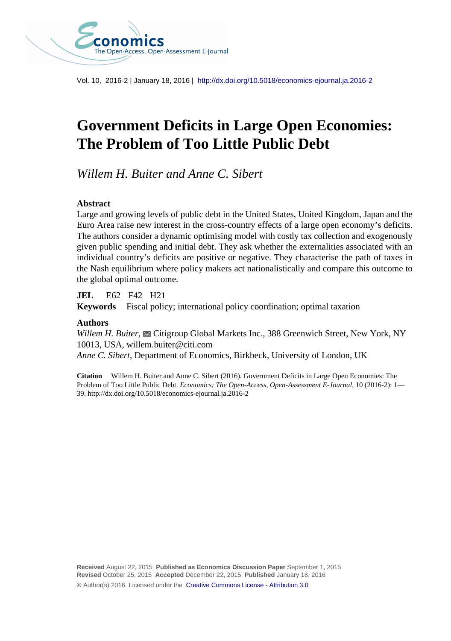

Vol. 10, 2016-2 | January 18, 2016 | <http://dx.doi.org/10.5018/economics-ejournal.ja.2016-2>

# **Government Deficits in Large Open Economies: The Problem of Too Little Public Debt**

*Willem H. Buiter and Anne C. Sibert*

#### **Abstract**

Large and growing levels of public debt in the United States, United Kingdom, Japan and the Euro Area raise new interest in the cross-country effects of a large open economy's deficits. The authors consider a dynamic optimising model with costly tax collection and exogenously given public spending and initial debt. They ask whether the externalities associated with an individual country's deficits are positive or negative. They characterise the path of taxes in the Nash equilibrium where policy makers act nationalistically and compare this outcome to the global optimal outcome.

**JEL** E62 F42 H21

**Keywords** Fiscal policy; international policy coordination; optimal taxation

#### **Authors**

*Willem H. Buiter*,  $\blacksquare$  Citigroup Global Markets Inc., 388 Greenwich Street, New York, NY 10013, USA, willem.buiter@citi.com

*Anne C. Sibert*, Department of Economics, Birkbeck, University of London, UK

**Citation** Willem H. Buiter and Anne C. Sibert (2016). Government Deficits in Large Open Economies: The Problem of Too Little Public Debt. *Economics: The Open-Access, Open-Assessment E-Journal*, 10 (2016-2): 1— 39. http://dx.doi.org/10.5018/economics-ejournal.ja.2016-2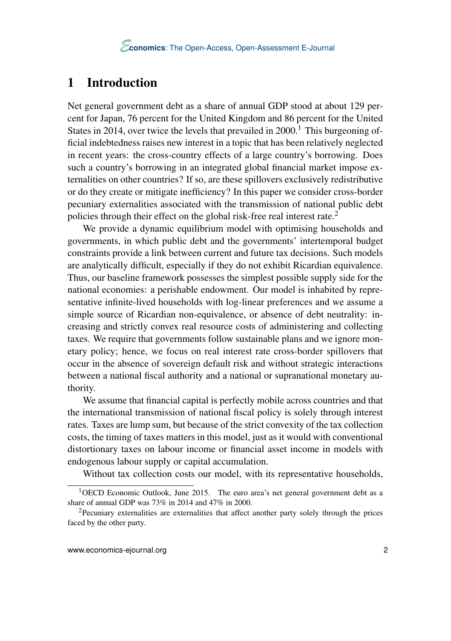### 1 Introduction

Net general government debt as a share of annual GDP stood at about 129 percent for Japan, 76 percent for the United Kingdom and 86 percent for the United States in 2014, over twice the levels that prevailed in  $2000<sup>1</sup>$ . This burgeoning official indebtedness raises new interest in a topic that has been relatively neglected in recent years: the cross-country effects of a large country's borrowing. Does such a country's borrowing in an integrated global financial market impose externalities on other countries? If so, are these spillovers exclusively redistributive or do they create or mitigate inefficiency? In this paper we consider cross-border pecuniary externalities associated with the transmission of national public debt policies through their effect on the global risk-free real interest rate.<sup>2</sup>

We provide a dynamic equilibrium model with optimising households and governments, in which public debt and the governments' intertemporal budget constraints provide a link between current and future tax decisions. Such models are analytically difficult, especially if they do not exhibit Ricardian equivalence. Thus, our baseline framework possesses the simplest possible supply side for the national economies: a perishable endowment. Our model is inhabited by representative infinite-lived households with log-linear preferences and we assume a simple source of Ricardian non-equivalence, or absence of debt neutrality: increasing and strictly convex real resource costs of administering and collecting taxes. We require that governments follow sustainable plans and we ignore monetary policy; hence, we focus on real interest rate cross-border spillovers that occur in the absence of sovereign default risk and without strategic interactions between a national fiscal authority and a national or supranational monetary authority.

We assume that financial capital is perfectly mobile across countries and that the international transmission of national fiscal policy is solely through interest rates. Taxes are lump sum, but because of the strict convexity of the tax collection costs, the timing of taxes matters in this model, just as it would with conventional distortionary taxes on labour income or financial asset income in models with endogenous labour supply or capital accumulation.

Without tax collection costs our model, with its representative households,

<sup>&</sup>lt;sup>1</sup>OECD Economic Outlook, June 2015. The euro area's net general government debt as a share of annual GDP was 73% in 2014 and 47% in 2000.

<sup>2</sup>Pecuniary externalities are externalities that affect another party solely through the prices faced by the other party.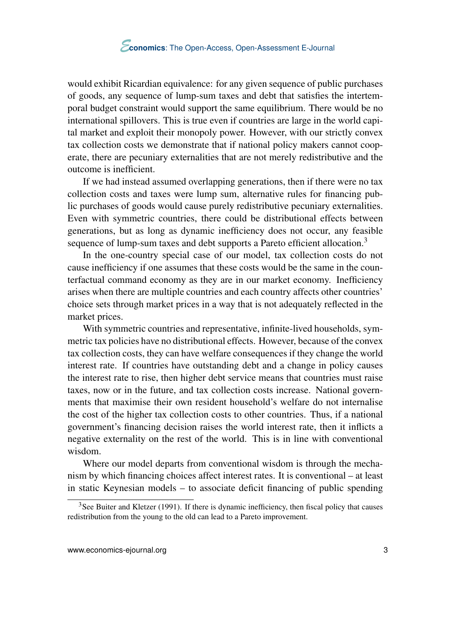would exhibit Ricardian equivalence: for any given sequence of public purchases of goods, any sequence of lump-sum taxes and debt that satisfies the intertemporal budget constraint would support the same equilibrium. There would be no international spillovers. This is true even if countries are large in the world capital market and exploit their monopoly power. However, with our strictly convex tax collection costs we demonstrate that if national policy makers cannot cooperate, there are pecuniary externalities that are not merely redistributive and the outcome is inefficient.

If we had instead assumed overlapping generations, then if there were no tax collection costs and taxes were lump sum, alternative rules for financing public purchases of goods would cause purely redistributive pecuniary externalities. Even with symmetric countries, there could be distributional effects between generations, but as long as dynamic inefficiency does not occur, any feasible sequence of lump-sum taxes and debt supports a Pareto efficient allocation.<sup>3</sup>

In the one-country special case of our model, tax collection costs do not cause inefficiency if one assumes that these costs would be the same in the counterfactual command economy as they are in our market economy. Inefficiency arises when there are multiple countries and each country affects other countries' choice sets through market prices in a way that is not adequately reflected in the market prices.

With symmetric countries and representative, infinite-lived households, symmetric tax policies have no distributional effects. However, because of the convex tax collection costs, they can have welfare consequences if they change the world interest rate. If countries have outstanding debt and a change in policy causes the interest rate to rise, then higher debt service means that countries must raise taxes, now or in the future, and tax collection costs increase. National governments that maximise their own resident household's welfare do not internalise the cost of the higher tax collection costs to other countries. Thus, if a national government's financing decision raises the world interest rate, then it inflicts a negative externality on the rest of the world. This is in line with conventional wisdom.

Where our model departs from conventional wisdom is through the mechanism by which financing choices affect interest rates. It is conventional – at least in static Keynesian models – to associate deficit financing of public spending

<sup>&</sup>lt;sup>3</sup>See Buiter and Kletzer (1991). If there is dynamic inefficiency, then fiscal policy that causes redistribution from the young to the old can lead to a Pareto improvement.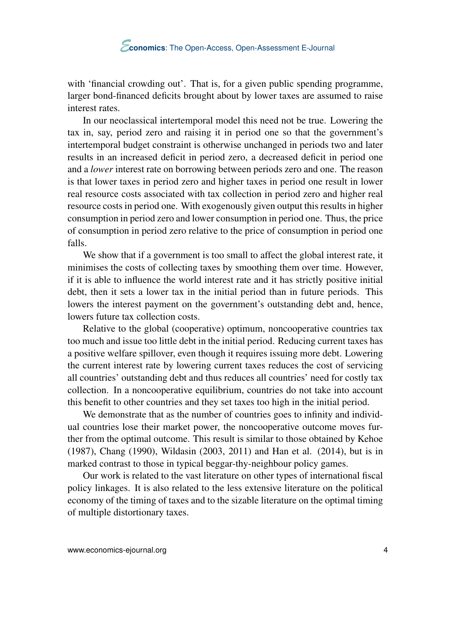with 'financial crowding out'. That is, for a given public spending programme, larger bond-financed deficits brought about by lower taxes are assumed to raise interest rates.

In our neoclassical intertemporal model this need not be true. Lowering the tax in, say, period zero and raising it in period one so that the government's intertemporal budget constraint is otherwise unchanged in periods two and later results in an increased deficit in period zero, a decreased deficit in period one and a *lower* interest rate on borrowing between periods zero and one. The reason is that lower taxes in period zero and higher taxes in period one result in lower real resource costs associated with tax collection in period zero and higher real resource costs in period one. With exogenously given output this results in higher consumption in period zero and lower consumption in period one. Thus, the price of consumption in period zero relative to the price of consumption in period one falls.

We show that if a government is too small to affect the global interest rate, it minimises the costs of collecting taxes by smoothing them over time. However, if it is able to influence the world interest rate and it has strictly positive initial debt, then it sets a lower tax in the initial period than in future periods. This lowers the interest payment on the government's outstanding debt and, hence, lowers future tax collection costs.

Relative to the global (cooperative) optimum, noncooperative countries tax too much and issue too little debt in the initial period. Reducing current taxes has a positive welfare spillover, even though it requires issuing more debt. Lowering the current interest rate by lowering current taxes reduces the cost of servicing all countries' outstanding debt and thus reduces all countries' need for costly tax collection. In a noncooperative equilibrium, countries do not take into account this benefit to other countries and they set taxes too high in the initial period.

We demonstrate that as the number of countries goes to infinity and individual countries lose their market power, the noncooperative outcome moves further from the optimal outcome. This result is similar to those obtained by Kehoe (1987), Chang (1990), Wildasin (2003, 2011) and Han et al. (2014), but is in marked contrast to those in typical beggar-thy-neighbour policy games.

Our work is related to the vast literature on other types of international fiscal policy linkages. It is also related to the less extensive literature on the political economy of the timing of taxes and to the sizable literature on the optimal timing of multiple distortionary taxes.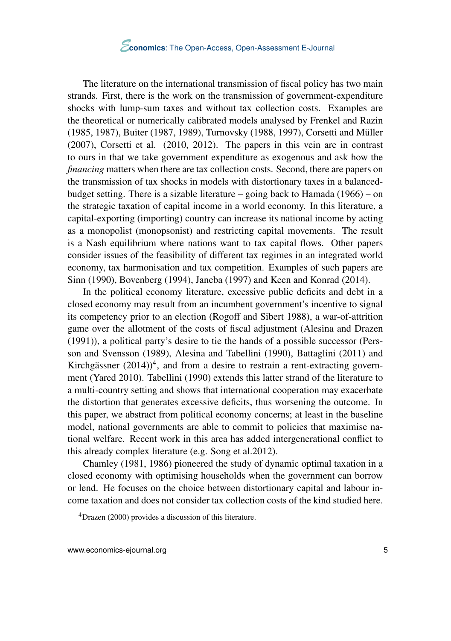The literature on the international transmission of fiscal policy has two main strands. First, there is the work on the transmission of government-expenditure shocks with lump-sum taxes and without tax collection costs. Examples are the theoretical or numerically calibrated models analysed by Frenkel and Razin (1985, 1987), Buiter (1987, 1989), Turnovsky (1988, 1997), Corsetti and Müller (2007), Corsetti et al. (2010, 2012). The papers in this vein are in contrast to ours in that we take government expenditure as exogenous and ask how the *financing* matters when there are tax collection costs. Second, there are papers on the transmission of tax shocks in models with distortionary taxes in a balancedbudget setting. There is a sizable literature – going back to Hamada (1966) – on the strategic taxation of capital income in a world economy. In this literature, a capital-exporting (importing) country can increase its national income by acting as a monopolist (monopsonist) and restricting capital movements. The result is a Nash equilibrium where nations want to tax capital flows. Other papers consider issues of the feasibility of different tax regimes in an integrated world economy, tax harmonisation and tax competition. Examples of such papers are Sinn (1990), Bovenberg (1994), Janeba (1997) and Keen and Konrad (2014).

In the political economy literature, excessive public deficits and debt in a closed economy may result from an incumbent government's incentive to signal its competency prior to an election (Rogoff and Sibert 1988), a war-of-attrition game over the allotment of the costs of fiscal adjustment (Alesina and Drazen (1991)), a political party's desire to tie the hands of a possible successor (Persson and Svensson (1989), Alesina and Tabellini (1990), Battaglini (2011) and Kirchgässner  $(2014)$ <sup>4</sup>, and from a desire to restrain a rent-extracting government (Yared 2010). Tabellini (1990) extends this latter strand of the literature to a multi-country setting and shows that international cooperation may exacerbate the distortion that generates excessive deficits, thus worsening the outcome. In this paper, we abstract from political economy concerns; at least in the baseline model, national governments are able to commit to policies that maximise national welfare. Recent work in this area has added intergenerational conflict to this already complex literature (e.g. Song et al.2012).

Chamley (1981, 1986) pioneered the study of dynamic optimal taxation in a closed economy with optimising households when the government can borrow or lend. He focuses on the choice between distortionary capital and labour income taxation and does not consider tax collection costs of the kind studied here.

<sup>4</sup>Drazen (2000) provides a discussion of this literature.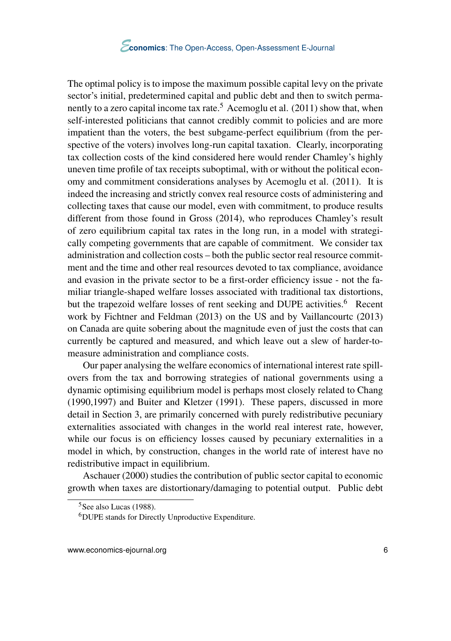The optimal policy is to impose the maximum possible capital levy on the private sector's initial, predetermined capital and public debt and then to switch permanently to a zero capital income tax rate.<sup>5</sup> Acemoglu et al. (2011) show that, when self-interested politicians that cannot credibly commit to policies and are more impatient than the voters, the best subgame-perfect equilibrium (from the perspective of the voters) involves long-run capital taxation. Clearly, incorporating tax collection costs of the kind considered here would render Chamley's highly uneven time profile of tax receipts suboptimal, with or without the political economy and commitment considerations analyses by Acemoglu et al. (2011). It is indeed the increasing and strictly convex real resource costs of administering and collecting taxes that cause our model, even with commitment, to produce results different from those found in Gross (2014), who reproduces Chamley's result of zero equilibrium capital tax rates in the long run, in a model with strategically competing governments that are capable of commitment. We consider tax administration and collection costs – both the public sector real resource commitment and the time and other real resources devoted to tax compliance, avoidance and evasion in the private sector to be a first-order efficiency issue - not the familiar triangle-shaped welfare losses associated with traditional tax distortions, but the trapezoid welfare losses of rent seeking and DUPE activities.<sup>6</sup> Recent work by Fichtner and Feldman (2013) on the US and by Vaillancourtc (2013) on Canada are quite sobering about the magnitude even of just the costs that can currently be captured and measured, and which leave out a slew of harder-tomeasure administration and compliance costs.

Our paper analysing the welfare economics of international interest rate spillovers from the tax and borrowing strategies of national governments using a dynamic optimising equilibrium model is perhaps most closely related to Chang (1990,1997) and Buiter and Kletzer (1991). These papers, discussed in more detail in Section 3, are primarily concerned with purely redistributive pecuniary externalities associated with changes in the world real interest rate, however, while our focus is on efficiency losses caused by pecuniary externalities in a model in which, by construction, changes in the world rate of interest have no redistributive impact in equilibrium.

Aschauer (2000) studies the contribution of public sector capital to economic growth when taxes are distortionary/damaging to potential output. Public debt

 $5$ See also Lucas (1988).

<sup>6</sup>DUPE stands for Directly Unproductive Expenditure.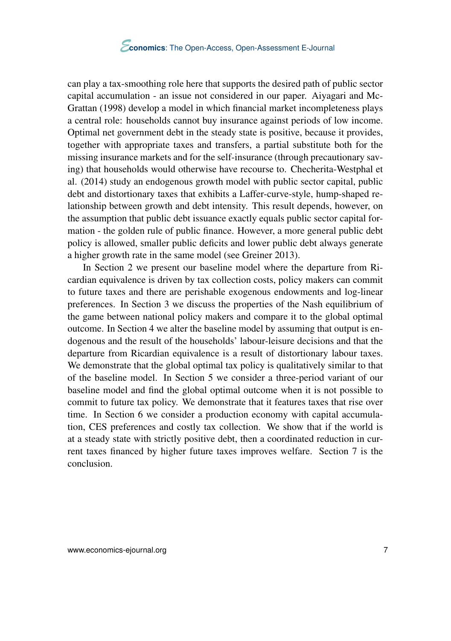can play a tax-smoothing role here that supports the desired path of public sector capital accumulation - an issue not considered in our paper. Aiyagari and Mc-Grattan (1998) develop a model in which financial market incompleteness plays a central role: households cannot buy insurance against periods of low income. Optimal net government debt in the steady state is positive, because it provides, together with appropriate taxes and transfers, a partial substitute both for the missing insurance markets and for the self-insurance (through precautionary saving) that households would otherwise have recourse to. Checherita-Westphal et al. (2014) study an endogenous growth model with public sector capital, public debt and distortionary taxes that exhibits a Laffer-curve-style, hump-shaped relationship between growth and debt intensity. This result depends, however, on the assumption that public debt issuance exactly equals public sector capital formation - the golden rule of public finance. However, a more general public debt policy is allowed, smaller public deficits and lower public debt always generate a higher growth rate in the same model (see Greiner 2013).

In Section 2 we present our baseline model where the departure from Ricardian equivalence is driven by tax collection costs, policy makers can commit to future taxes and there are perishable exogenous endowments and log-linear preferences. In Section 3 we discuss the properties of the Nash equilibrium of the game between national policy makers and compare it to the global optimal outcome. In Section 4 we alter the baseline model by assuming that output is endogenous and the result of the households' labour-leisure decisions and that the departure from Ricardian equivalence is a result of distortionary labour taxes. We demonstrate that the global optimal tax policy is qualitatively similar to that of the baseline model. In Section 5 we consider a three-period variant of our baseline model and find the global optimal outcome when it is not possible to commit to future tax policy. We demonstrate that it features taxes that rise over time. In Section 6 we consider a production economy with capital accumulation, CES preferences and costly tax collection. We show that if the world is at a steady state with strictly positive debt, then a coordinated reduction in current taxes financed by higher future taxes improves welfare. Section 7 is the conclusion.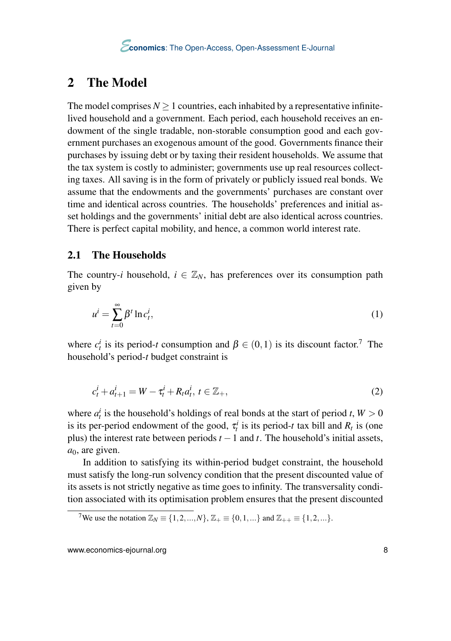## 2 The Model

The model comprises  $N \geq 1$  countries, each inhabited by a representative infinitelived household and a government. Each period, each household receives an endowment of the single tradable, non-storable consumption good and each government purchases an exogenous amount of the good. Governments finance their purchases by issuing debt or by taxing their resident households. We assume that the tax system is costly to administer; governments use up real resources collecting taxes. All saving is in the form of privately or publicly issued real bonds. We assume that the endowments and the governments' purchases are constant over time and identical across countries. The households' preferences and initial asset holdings and the governments' initial debt are also identical across countries. There is perfect capital mobility, and hence, a common world interest rate.

### 2.1 The Households

The country-*i* household,  $i \in \mathbb{Z}_N$ , has preferences over its consumption path given by

$$
u^i = \sum_{t=0}^{\infty} \beta^t \ln c_t^i,
$$
\n(1)

where  $c_t^i$  is its period-*t* consumption and  $\beta \in (0,1)$  is its discount factor.<sup>7</sup> The household's period-*t* budget constraint is

$$
c_t^i + a_{t+1}^i = W - \tau_t^i + R_t a_t^i, \ t \in \mathbb{Z}_+, \tag{2}
$$

where  $a_t^i$  is the household's holdings of real bonds at the start of period *t*,  $W > 0$ is its per-period endowment of the good,  $\tau_t^i$  is its period-*t* tax bill and  $R_t$  is (one plus) the interest rate between periods  $t - 1$  and  $t$ . The household's initial assets,  $a_0$ , are given.

In addition to satisfying its within-period budget constraint, the household must satisfy the long-run solvency condition that the present discounted value of its assets is not strictly negative as time goes to infinity. The transversality condition associated with its optimisation problem ensures that the present discounted

<sup>&</sup>lt;sup>7</sup>We use the notation  $\mathbb{Z}_N = \{1, 2, ..., N\}$ ,  $\mathbb{Z}_+ = \{0, 1, ...\}$  and  $\mathbb{Z}_{++} = \{1, 2, ...\}$ .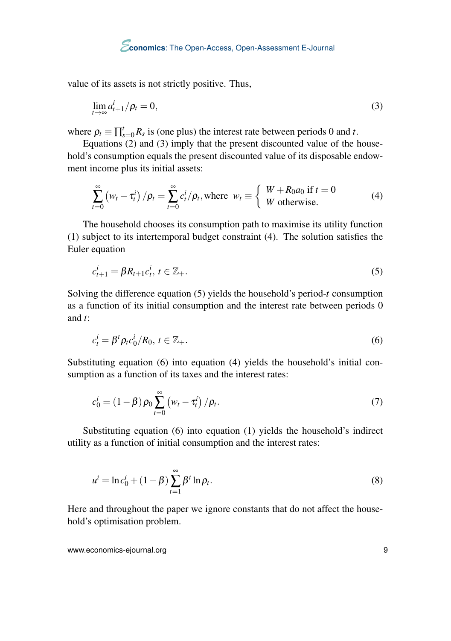### *Conomics:* The Open-Access, Open-Assessment E-Journal

value of its assets is not strictly positive. Thus,

$$
\lim_{t \to \infty} a_{t+1}^i / \rho_t = 0,\tag{3}
$$

where  $\rho_t \equiv \prod_{s=0}^t R_s$  is (one plus) the interest rate between periods 0 and *t*.

Equations (2) and (3) imply that the present discounted value of the household's consumption equals the present discounted value of its disposable endowment income plus its initial assets:

$$
\sum_{t=0}^{\infty} \left( w_t - \tau_t^i \right) / \rho_t = \sum_{t=0}^{\infty} c_t^i / \rho_t
$$
, where  $w_t \equiv \begin{cases} W + R_0 a_0 \text{ if } t = 0 \\ W \text{ otherwise.} \end{cases}$  (4)

The household chooses its consumption path to maximise its utility function (1) subject to its intertemporal budget constraint (4). The solution satisfies the Euler equation

$$
c_{t+1}^i = \beta R_{t+1} c_t^i, \ t \in \mathbb{Z}_+.
$$
 (5)

Solving the difference equation (5) yields the household's period-*t* consumption as a function of its initial consumption and the interest rate between periods 0 and *t*:

$$
c_t^i = \beta^t \rho_t c_0^i / R_0, \ t \in \mathbb{Z}_+.
$$

Substituting equation (6) into equation (4) yields the household's initial consumption as a function of its taxes and the interest rates:

$$
c_0^i = (1 - \beta) \rho_0 \sum_{t=0}^{\infty} \left( w_t - \tau_t^i \right) / \rho_t.
$$
 (7)

Substituting equation (6) into equation (1) yields the household's indirect utility as a function of initial consumption and the interest rates:

$$
u^{i} = \ln c_{0}^{i} + (1 - \beta) \sum_{t=1}^{\infty} \beta^{t} \ln \rho_{t}.
$$
 (8)

Here and throughout the paper we ignore constants that do not affect the household's optimisation problem.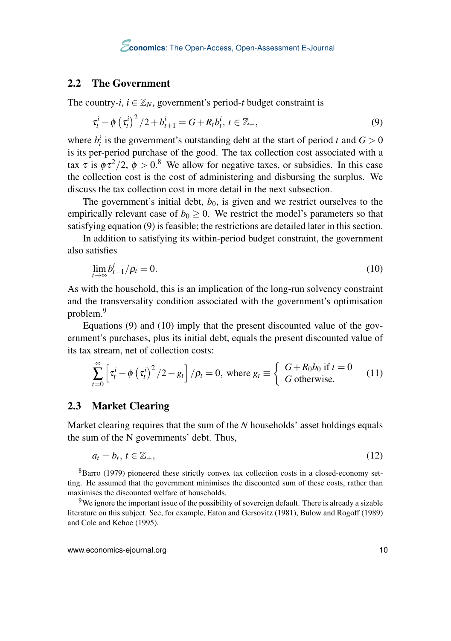#### 2.2 The Government

The country-*i*,  $i \in \mathbb{Z}_N$ , government's period-*t* budget constraint is

$$
\tau_t^i - \phi \left(\tau_t^i\right)^2 / 2 + b_{t+1}^i = G + R_t b_t^i, \ t \in \mathbb{Z}_+, \tag{9}
$$

where  $b_t^i$  is the government's outstanding debt at the start of period *t* and  $G > 0$ is its per-period purchase of the good. The tax collection cost associated with a tax  $\tau$  is  $\phi \tau^2/2$ ,  $\phi > 0.8$  We allow for negative taxes, or subsidies. In this case the collection cost is the cost of administering and disbursing the surplus. We discuss the tax collection cost in more detail in the next subsection.

The government's initial debt,  $b_0$ , is given and we restrict ourselves to the empirically relevant case of  $b_0 \ge 0$ . We restrict the model's parameters so that satisfying equation (9) is feasible; the restrictions are detailed later in this section.

In addition to satisfying its within-period budget constraint, the government also satisfies

$$
\lim_{t \to \infty} b_{t+1}^i / \rho_t = 0. \tag{10}
$$

As with the household, this is an implication of the long-run solvency constraint and the transversality condition associated with the government's optimisation problem.<sup>9</sup>

Equations (9) and (10) imply that the present discounted value of the government's purchases, plus its initial debt, equals the present discounted value of its tax stream, net of collection costs:

$$
\sum_{t=0}^{\infty} \left[ \tau_t^i - \phi \left( \tau_t^i \right)^2 / 2 - g_t \right] / \rho_t = 0, \text{ where } g_t \equiv \left\{ \begin{array}{l} G + R_0 b_0 \text{ if } t = 0\\ G \text{ otherwise.} \end{array} \right. \tag{11}
$$

#### 2.3 Market Clearing

Market clearing requires that the sum of the *N* households' asset holdings equals the sum of the N governments' debt. Thus,

$$
a_t = b_t, \, t \in \mathbb{Z}_+, \tag{12}
$$

<sup>8</sup>Barro (1979) pioneered these strictly convex tax collection costs in a closed-economy setting. He assumed that the government minimises the discounted sum of these costs, rather than maximises the discounted welfare of households.

<sup>&</sup>lt;sup>9</sup>We ignore the important issue of the possibility of sovereign default. There is already a sizable literature on this subject. See, for example, Eaton and Gersovitz (1981), Bulow and Rogoff (1989) and Cole and Kehoe (1995).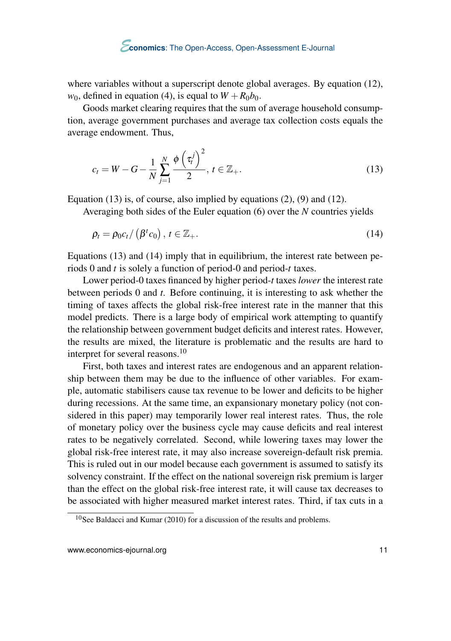### *Conomics:* The Open-Access, Open-Assessment E-Journal

where variables without a superscript denote global averages. By equation (12), *w*<sub>0</sub>, defined in equation (4), is equal to  $W + R_0b_0$ .

Goods market clearing requires that the sum of average household consumption, average government purchases and average tax collection costs equals the average endowment. Thus,

$$
c_{t} = W - G - \frac{1}{N} \sum_{j=1}^{N} \frac{\phi\left(\tau_{t}^{j}\right)^{2}}{2}, \ t \in \mathbb{Z}_{+}.
$$
 (13)

Equation (13) is, of course, also implied by equations (2), (9) and (12).

Averaging both sides of the Euler equation (6) over the *N* countries yields

$$
\rho_t = \rho_0 c_t / \left(\beta^t c_0\right), \ t \in \mathbb{Z}_+.\tag{14}
$$

Equations (13) and (14) imply that in equilibrium, the interest rate between periods 0 and *t* is solely a function of period-0 and period-*t* taxes.

Lower period-0 taxes financed by higher period-*t* taxes *lower* the interest rate between periods 0 and *t*. Before continuing, it is interesting to ask whether the timing of taxes affects the global risk-free interest rate in the manner that this model predicts. There is a large body of empirical work attempting to quantify the relationship between government budget deficits and interest rates. However, the results are mixed, the literature is problematic and the results are hard to interpret for several reasons.<sup>10</sup>

First, both taxes and interest rates are endogenous and an apparent relationship between them may be due to the influence of other variables. For example, automatic stabilisers cause tax revenue to be lower and deficits to be higher during recessions. At the same time, an expansionary monetary policy (not considered in this paper) may temporarily lower real interest rates. Thus, the role of monetary policy over the business cycle may cause deficits and real interest rates to be negatively correlated. Second, while lowering taxes may lower the global risk-free interest rate, it may also increase sovereign-default risk premia. This is ruled out in our model because each government is assumed to satisfy its solvency constraint. If the effect on the national sovereign risk premium is larger than the effect on the global risk-free interest rate, it will cause tax decreases to be associated with higher measured market interest rates. Third, if tax cuts in a

 $10$ See Baldacci and Kumar (2010) for a discussion of the results and problems.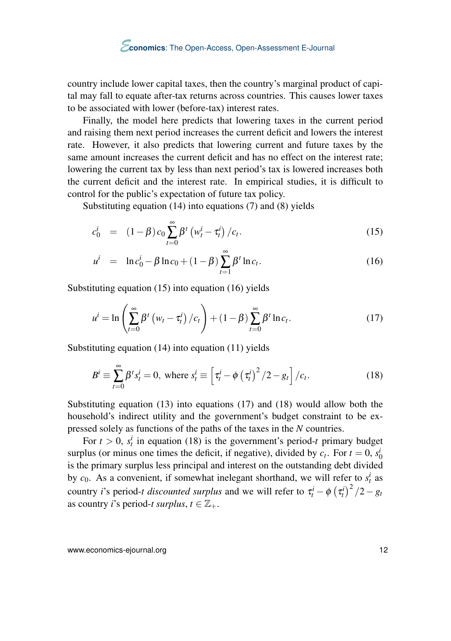### *Conomics: The Open-Access, Open-Assessment E-Journal*

country include lower capital taxes, then the country's marginal product of capital may fall to equate after-tax returns across countries. This causes lower taxes to be associated with lower (before-tax) interest rates.

Finally, the model here predicts that lowering taxes in the current period and raising them next period increases the current deficit and lowers the interest rate. However, it also predicts that lowering current and future taxes by the same amount increases the current deficit and has no effect on the interest rate; lowering the current tax by less than next period's tax is lowered increases both the current deficit and the interest rate. In empirical studies, it is difficult to control for the public's expectation of future tax policy.

Substituting equation (14) into equations (7) and (8) yields

$$
c_0^i = (1 - \beta) c_0 \sum_{t=0}^{\infty} \beta^t \left( w_t^i - \tau_t^i \right) / c_t.
$$
 (15)

$$
u^{i} = \ln c_{0}^{i} - \beta \ln c_{0} + (1 - \beta) \sum_{t=1}^{\infty} \beta^{t} \ln c_{t}.
$$
 (16)

Substituting equation (15) into equation (16) yields

$$
u^{i} = \ln\left(\sum_{t=0}^{\infty} \beta^{t} \left(w_{t} - \tau_{t}^{i}\right) / c_{t}\right) + (1 - \beta) \sum_{t=0}^{\infty} \beta^{t} \ln c_{t}.
$$
 (17)

Substituting equation (14) into equation (11) yields

$$
B^{i} \equiv \sum_{t=0}^{\infty} \beta^{t} s_{t}^{i} = 0, \text{ where } s_{t}^{i} \equiv \left[ \tau_{t}^{i} - \phi \left( \tau_{t}^{i} \right)^{2} / 2 - g_{t} \right] / c_{t}.
$$
 (18)

Substituting equation  $(13)$  into equations  $(17)$  and  $(18)$  would allow both the household's indirect utility and the government's budget constraint to be expressed solely as functions of the paths of the taxes in the *N* countries.

For  $t > 0$ ,  $s_t^i$  in equation (18) is the government's period-t primary budget surplus (or minus one times the deficit, if negative), divided by  $c_t$ . For  $t = 0$ ,  $s_0^i$ is the primary surplus less principal and interest on the outstanding debt divided by  $c_0$ . As a convenient, if somewhat inelegant shorthand, we will refer to  $s_t^i$  as country *i*'s period-*t discounted surplus* and we will refer to  $\tau_t^i - \phi (\tau_t^i)^2 / 2 - g_t$ as country *i*'s period-*t* surplus,  $t \in \mathbb{Z}_+$ .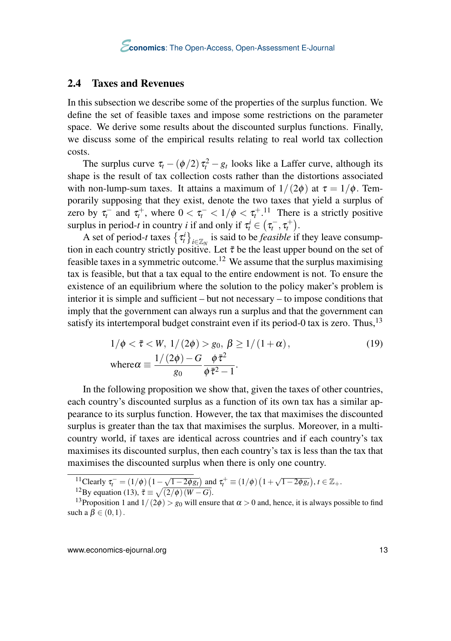### 2.4 Taxes and Revenues

In this subsection we describe some of the properties of the surplus function. We define the set of feasible taxes and impose some restrictions on the parameter space. We derive some results about the discounted surplus functions. Finally, we discuss some of the empirical results relating to real world tax collection costs.

The surplus curve  $\tau_t - (\phi/2) \tau_t^2 - g_t$  looks like a Laffer curve, although its shape is the result of tax collection costs rather than the distortions associated with non-lump-sum taxes. It attains a maximum of  $1/(2\phi)$  at  $\tau = 1/\phi$ . Temporarily supposing that they exist, denote the two taxes that yield a surplus of zero by  $\tau_t^-$  and  $\tau_t^+$ , where  $0 < \tau_t^- < 1/\phi < \tau_t^{+1}$ . There is a strictly positive surplus in period-*t* in country *i* if and only if  $\tau_t^i \in (\tau_t^-, \tau_t^+)$ .

A set of period-*t* taxes  $\{\tau_t^i\}_{i \in \mathbb{Z}_N}$  is said to be *feasible* if they leave consumption in each country strictly positive. Let  $\bar{\tau}$  be the least upper bound on the set of feasible taxes in a symmetric outcome.<sup>12</sup> We assume that the surplus maximising tax is feasible, but that a tax equal to the entire endowment is not. To ensure the existence of an equilibrium where the solution to the policy maker's problem is interior it is simple and sufficient – but not necessary – to impose conditions that imply that the government can always run a surplus and that the government can satisfy its intertemporal budget constraint even if its period-0 tax is zero. Thus,  $1<sup>3</sup>$ 

$$
1/\phi < \bar{\tau} < W, \ 1/(2\phi) > g_0, \ \beta \ge 1/(1+\alpha),
$$
  
where  $\alpha \equiv \frac{1/(2\phi) - G}{g_0} \frac{\phi \bar{\tau}^2}{\phi \bar{\tau}^2 - 1}.$  (19)

In the following proposition we show that, given the taxes of other countries, each country's discounted surplus as a function of its own tax has a similar appearance to its surplus function. However, the tax that maximises the discounted surplus is greater than the tax that maximises the surplus. Moreover, in a multicountry world, if taxes are identical across countries and if each country's tax maximises its discounted surplus, then each country's tax is less than the tax that maximises the discounted surplus when there is only one country.

 $\tau_1^{-1}$ Clearly  $\tau_t^{-} = (1/\phi) (1 - \sqrt{1 - 2\phi_{gt}})$  and  $\tau_t^{+} \equiv (1/\phi) (1 + \sqrt{1 - 2\phi_{gt}})$ ,  $t \in \mathbb{Z}_+$ .

<sup>12</sup>By equation (13),  $\bar{\tau} \equiv \sqrt{(2/\phi)(W - G)}$ .

<sup>&</sup>lt;sup>13</sup>Proposition 1 and  $1/(2\phi) > g_0$  will ensure that  $\alpha > 0$  and, hence, it is always possible to find such a  $\beta \in (0,1)$ .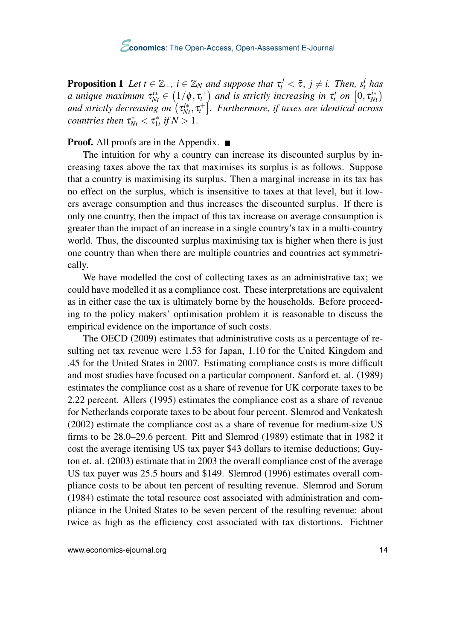**Proposition 1** Let  $t \in \mathbb{Z}_+$ ,  $i \in \mathbb{Z}_N$  and suppose that  $\tau_t^j < \bar{\tau}$ ,  $j \neq i$ . Then,  $s_t^i$  has *a* unique maximum  $\tau_{Nt}^{i*} \in (1/\phi, \tau_t^+)$  and is strictly increasing in  $\tau_t^i$  on  $[0, \tau_{Nt}^{i*})$ and strictly decreasing on  $(\tau_{Nt}^{i*}, \tau_t^+]$ . Furthermore, if taxes are identical across *countries then*  $\tau_{Nt}^* < \tau_{1t}^*$  *if*  $N > 1$ .

#### **Proof.** All proofs are in the Appendix.  $\blacksquare$

The intuition for why a country can increase its discounted surplus by increasing taxes above the tax that maximises its surplus is as follows. Suppose that a country is maximising its surplus. Then a marginal increase in its tax has no effect on the surplus, which is insensitive to taxes at that level, but it lowers average consumption and thus increases the discounted surplus. If there is only one country, then the impact of this tax increase on average consumption is greater than the impact of an increase in a single country's tax in a multi-country world. Thus, the discounted surplus maximising tax is higher when there is just one country than when there are multiple countries and countries act symmetrically.

We have modelled the cost of collecting taxes as an administrative tax; we could have modelled it as a compliance cost. These interpretations are equivalent as in either case the tax is ultimately borne by the households. Before proceeding to the policy makers' optimisation problem it is reasonable to discuss the empirical evidence on the importance of such costs.

The OECD (2009) estimates that administrative costs as a percentage of resulting net tax revenue were 1.53 for Japan, 1.10 for the United Kingdom and .45 for the United States in 2007. Estimating compliance costs is more difficult and most studies have focused on a particular component. Sanford et. al. (1989) estimates the compliance cost as a share of revenue for UK corporate taxes to be 2.22 percent. Allers (1995) estimates the compliance cost as a share of revenue for Netherlands corporate taxes to be about four percent. Slemrod and Venkatesh (2002) estimate the compliance cost as a share of revenue for medium-size US firms to be 28.0–29.6 percent. Pitt and Slemrod (1989) estimate that in 1982 it cost the average itemising US tax payer \$43 dollars to itemise deductions; Guyton et. al. (2003) estimate that in 2003 the overall compliance cost of the average US tax payer was 25.5 hours and \$149. Slemrod (1996) estimates overall compliance costs to be about ten percent of resulting revenue. Slemrod and Sorum (1984) estimate the total resource cost associated with administration and compliance in the United States to be seven percent of the resulting revenue: about twice as high as the efficiency cost associated with tax distortions. Fichtner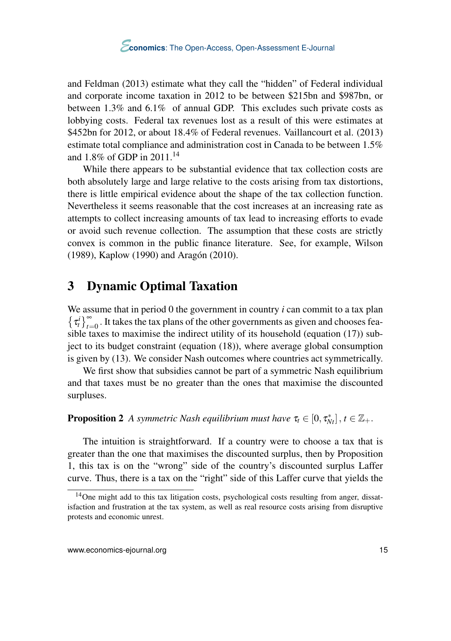and Feldman (2013) estimate what they call the "hidden" of Federal individual and corporate income taxation in 2012 to be between \$215bn and \$987bn, or between 1.3% and 6.1% of annual GDP. This excludes such private costs as lobbying costs. Federal tax revenues lost as a result of this were estimates at \$452bn for 2012, or about 18.4% of Federal revenues. Vaillancourt et al. (2013) estimate total compliance and administration cost in Canada to be between 1.5% and 1.8% of GDP in 2011.<sup>14</sup>

While there appears to be substantial evidence that tax collection costs are both absolutely large and large relative to the costs arising from tax distortions, there is little empirical evidence about the shape of the tax collection function. Nevertheless it seems reasonable that the cost increases at an increasing rate as attempts to collect increasing amounts of tax lead to increasing efforts to evade or avoid such revenue collection. The assumption that these costs are strictly convex is common in the public finance literature. See, for example, Wilson (1989), Kaplow (1990) and Aragón (2010).

# 3 Dynamic Optimal Taxation

We assume that in period 0 the government in country *i* can commit to a tax plan  $\{\tau_i^i\}_{i=0}^{\infty}$ . It takes the tax plans of the other governments as given and chooses feasible taxes to maximise the indirect utility of its household (equation  $(17)$ ) subject to its budget constraint (equation (18)), where average global consumption is given by (13). We consider Nash outcomes where countries act symmetrically.

We first show that subsidies cannot be part of a symmetric Nash equilibrium and that taxes must be no greater than the ones that maximise the discounted surpluses.

**Proposition 2** A symmetric Nash equilibrium must have  $\tau_t \in [0, \tau_{Nt}^*], t \in \mathbb{Z}_+$ .

The intuition is straightforward. If a country were to choose a tax that is greater than the one that maximises the discounted surplus, then by Proposition 1, this tax is on the "wrong" side of the country's discounted surplus Laffer curve. Thus, there is a tax on the "right" side of this Laffer curve that yields the

<sup>&</sup>lt;sup>14</sup>One might add to this tax litigation costs, psychological costs resulting from anger, dissatisfaction and frustration at the tax system, as well as real resource costs arising from disruptive protests and economic unrest.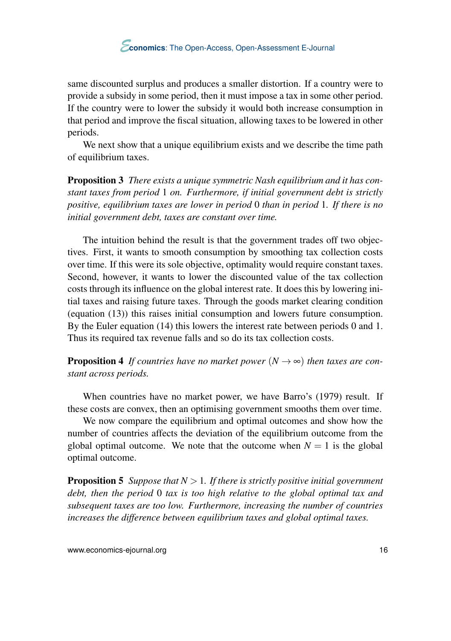same discounted surplus and produces a smaller distortion. If a country were to provide a subsidy in some period, then it must impose a tax in some other period. If the country were to lower the subsidy it would both increase consumption in that period and improve the fiscal situation, allowing taxes to be lowered in other periods.

We next show that a unique equilibrium exists and we describe the time path of equilibrium taxes.

Proposition 3 *There exists a unique symmetric Nash equilibrium and it has constant taxes from period* 1 *on. Furthermore, if initial government debt is strictly positive, equilibrium taxes are lower in period* 0 *than in period* 1*. If there is no initial government debt, taxes are constant over time.*

The intuition behind the result is that the government trades off two objectives. First, it wants to smooth consumption by smoothing tax collection costs over time. If this were its sole objective, optimality would require constant taxes. Second, however, it wants to lower the discounted value of the tax collection costs through its influence on the global interest rate. It does this by lowering initial taxes and raising future taxes. Through the goods market clearing condition (equation (13)) this raises initial consumption and lowers future consumption. By the Euler equation (14) this lowers the interest rate between periods 0 and 1. Thus its required tax revenue falls and so do its tax collection costs.

**Proposition 4** If countries have no market power  $(N \rightarrow \infty)$  then taxes are con*stant across periods.*

When countries have no market power, we have Barro's (1979) result. If these costs are convex, then an optimising government smooths them over time.

We now compare the equilibrium and optimal outcomes and show how the number of countries affects the deviation of the equilibrium outcome from the global optimal outcome. We note that the outcome when  $N = 1$  is the global optimal outcome.

Proposition 5 *Suppose that N* > 1*. If there is strictly positive initial government debt, then the period* 0 *tax is too high relative to the global optimal tax and subsequent taxes are too low. Furthermore, increasing the number of countries increases the difference between equilibrium taxes and global optimal taxes.*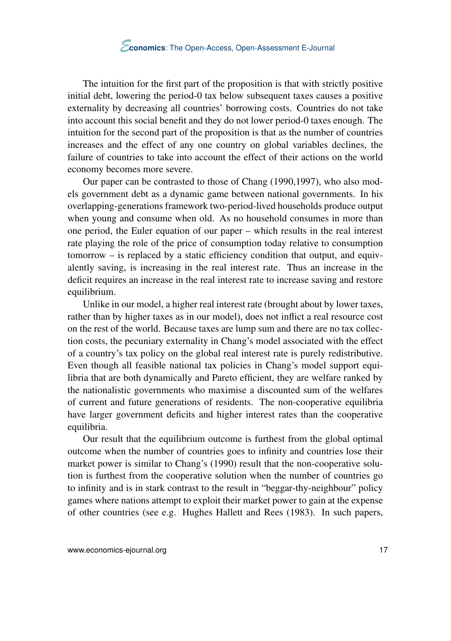The intuition for the first part of the proposition is that with strictly positive initial debt, lowering the period-0 tax below subsequent taxes causes a positive externality by decreasing all countries' borrowing costs. Countries do not take into account this social benefit and they do not lower period-0 taxes enough. The intuition for the second part of the proposition is that as the number of countries increases and the effect of any one country on global variables declines, the failure of countries to take into account the effect of their actions on the world economy becomes more severe.

Our paper can be contrasted to those of Chang (1990,1997), who also models government debt as a dynamic game between national governments. In his overlapping-generations framework two-period-lived households produce output when young and consume when old. As no household consumes in more than one period, the Euler equation of our paper – which results in the real interest rate playing the role of the price of consumption today relative to consumption tomorrow – is replaced by a static efficiency condition that output, and equivalently saving, is increasing in the real interest rate. Thus an increase in the deficit requires an increase in the real interest rate to increase saving and restore equilibrium.

Unlike in our model, a higher real interest rate (brought about by lower taxes, rather than by higher taxes as in our model), does not inflict a real resource cost on the rest of the world. Because taxes are lump sum and there are no tax collection costs, the pecuniary externality in Chang's model associated with the effect of a country's tax policy on the global real interest rate is purely redistributive. Even though all feasible national tax policies in Chang's model support equilibria that are both dynamically and Pareto efficient, they are welfare ranked by the nationalistic governments who maximise a discounted sum of the welfares of current and future generations of residents. The non-cooperative equilibria have larger government deficits and higher interest rates than the cooperative equilibria.

Our result that the equilibrium outcome is furthest from the global optimal outcome when the number of countries goes to infinity and countries lose their market power is similar to Chang's (1990) result that the non-cooperative solution is furthest from the cooperative solution when the number of countries go to infinity and is in stark contrast to the result in "beggar-thy-neighbour" policy games where nations attempt to exploit their market power to gain at the expense of other countries (see e.g. Hughes Hallett and Rees (1983). In such papers,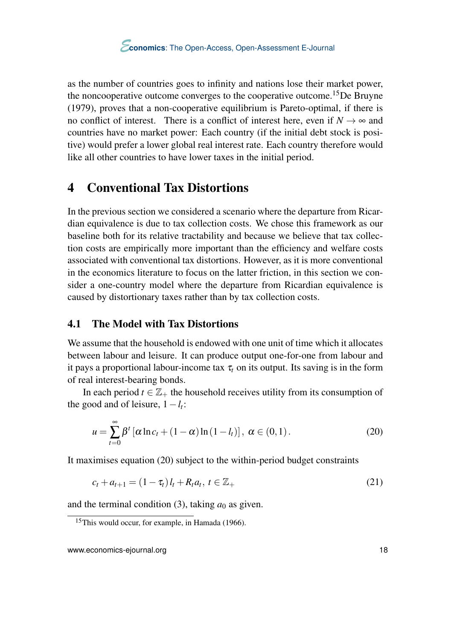as the number of countries goes to infinity and nations lose their market power, the noncooperative outcome converges to the cooperative outcome.<sup>15</sup>De Bruyne (1979), proves that a non-cooperative equilibrium is Pareto-optimal, if there is no conflict of interest. There is a conflict of interest here, even if  $N \to \infty$  and countries have no market power: Each country (if the initial debt stock is positive) would prefer a lower global real interest rate. Each country therefore would like all other countries to have lower taxes in the initial period.

# 4 Conventional Tax Distortions

In the previous section we considered a scenario where the departure from Ricardian equivalence is due to tax collection costs. We chose this framework as our baseline both for its relative tractability and because we believe that tax collection costs are empirically more important than the efficiency and welfare costs associated with conventional tax distortions. However, as it is more conventional in the economics literature to focus on the latter friction, in this section we consider a one-country model where the departure from Ricardian equivalence is caused by distortionary taxes rather than by tax collection costs.

### 4.1 The Model with Tax Distortions

We assume that the household is endowed with one unit of time which it allocates between labour and leisure. It can produce output one-for-one from labour and it pays a proportional labour-income tax  $\tau_t$  on its output. Its saving is in the form of real interest-bearing bonds.

In each period  $t \in \mathbb{Z}_+$  the household receives utility from its consumption of the good and of leisure,  $1 - l_t$ :

$$
u = \sum_{t=0}^{\infty} \beta^t \left[ \alpha \ln c_t + (1 - \alpha) \ln (1 - l_t) \right], \ \alpha \in (0, 1).
$$
 (20)

It maximises equation (20) subject to the within-period budget constraints

$$
c_t + a_{t+1} = (1 - \tau_t) l_t + R_t a_t, \ t \in \mathbb{Z}_+
$$
\n(21)

and the terminal condition  $(3)$ , taking  $a_0$  as given.

<sup>&</sup>lt;sup>15</sup>This would occur, for example, in Hamada (1966).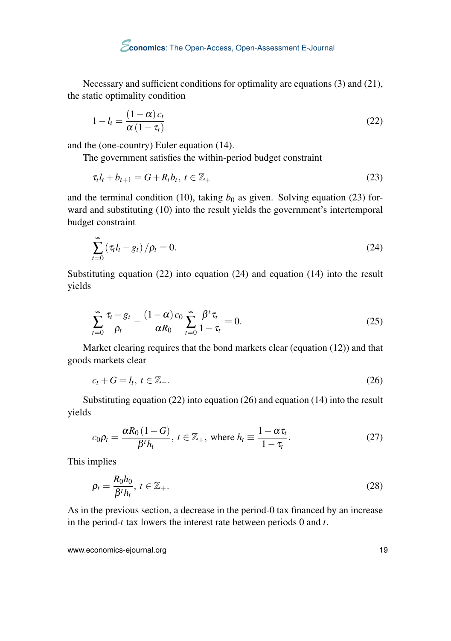Necessary and sufficient conditions for optimality are equations (3) and (21), the static optimality condition

$$
1 - l_t = \frac{(1 - \alpha)c_t}{\alpha(1 - \tau_t)}
$$
\n(22)

and the (one-country) Euler equation (14).

The government satisfies the within-period budget constraint

$$
\tau_t l_t + b_{t+1} = G + R_t b_t, t \in \mathbb{Z}_+ \tag{23}
$$

and the terminal condition (10), taking  $b_0$  as given. Solving equation (23) forward and substituting (10) into the result yields the government's intertemporal budget constraint

$$
\sum_{t=0}^{\infty} \left( \tau_t l_t - g_t \right) / \rho_t = 0. \tag{24}
$$

Substituting equation (22) into equation (24) and equation (14) into the result yields

$$
\sum_{t=0}^{\infty} \frac{\tau_t - g_t}{\rho_t} - \frac{(1 - \alpha) c_0}{\alpha R_0} \sum_{t=0}^{\infty} \frac{\beta^t \tau_t}{1 - \tau_t} = 0.
$$
\n(25)

Market clearing requires that the bond markets clear (equation (12)) and that goods markets clear

$$
c_t + G = l_t, \ t \in \mathbb{Z}_+.\tag{26}
$$

Substituting equation (22) into equation (26) and equation (14) into the result yields

$$
c_0 \rho_t = \frac{\alpha R_0 (1 - G)}{\beta^t h_t}, \ t \in \mathbb{Z}_+, \text{ where } h_t \equiv \frac{1 - \alpha \tau_t}{1 - \tau_t}. \tag{27}
$$

This implies

$$
\rho_t = \frac{R_0 h_0}{\beta^t h_t}, \ t \in \mathbb{Z}_+.
$$
\n<sup>(28)</sup>

As in the previous section, a decrease in the period-0 tax financed by an increase in the period-*t* tax lowers the interest rate between periods 0 and *t*.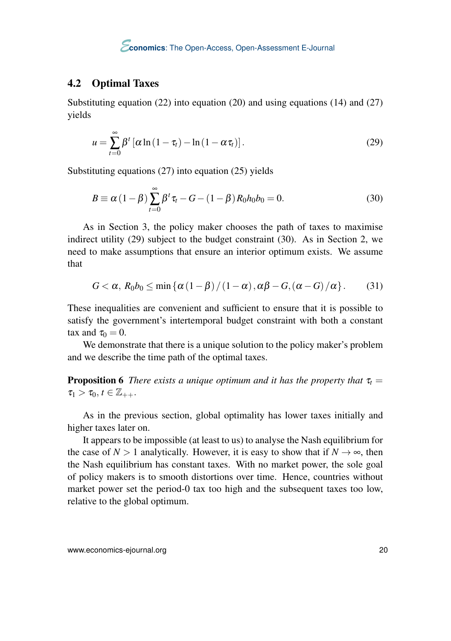### 4.2 Optimal Taxes

Substituting equation (22) into equation (20) and using equations (14) and (27) yields

$$
u = \sum_{t=0}^{\infty} \beta^t \left[ \alpha \ln \left( 1 - \tau_t \right) - \ln \left( 1 - \alpha \tau_t \right) \right]. \tag{29}
$$

Substituting equations (27) into equation (25) yields

$$
B \equiv \alpha (1 - \beta) \sum_{t=0}^{\infty} \beta^t \tau_t - G - (1 - \beta) R_0 h_0 b_0 = 0.
$$
 (30)

As in Section 3, the policy maker chooses the path of taxes to maximise indirect utility (29) subject to the budget constraint (30). As in Section 2, we need to make assumptions that ensure an interior optimum exists. We assume that

$$
G < \alpha, R_0 b_0 \leq \min\left\{\alpha\left(1-\beta\right)/\left(1-\alpha\right), \alpha\beta - G, \left(\alpha - G\right)/\alpha\right\}.\tag{31}
$$

These inequalities are convenient and sufficient to ensure that it is possible to satisfy the government's intertemporal budget constraint with both a constant tax and  $\tau_0 = 0$ .

We demonstrate that there is a unique solution to the policy maker's problem and we describe the time path of the optimal taxes.

**Proposition 6** *There exists a unique optimum and it has the property that*  $\tau_t$  =  $\tau_1 > \tau_0, t \in \mathbb{Z}_{++}.$ 

As in the previous section, global optimality has lower taxes initially and higher taxes later on.

It appears to be impossible (at least to us) to analyse the Nash equilibrium for the case of  $N > 1$  analytically. However, it is easy to show that if  $N \to \infty$ , then the Nash equilibrium has constant taxes. With no market power, the sole goal of policy makers is to smooth distortions over time. Hence, countries without market power set the period-0 tax too high and the subsequent taxes too low, relative to the global optimum.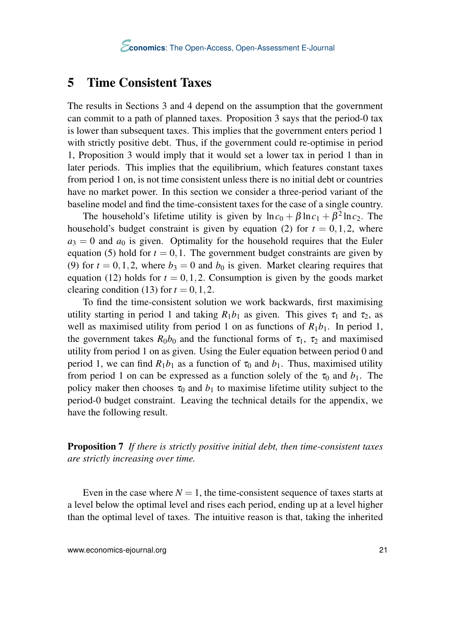### 5 Time Consistent Taxes

The results in Sections 3 and 4 depend on the assumption that the government can commit to a path of planned taxes. Proposition 3 says that the period-0 tax is lower than subsequent taxes. This implies that the government enters period 1 with strictly positive debt. Thus, if the government could re-optimise in period 1, Proposition 3 would imply that it would set a lower tax in period 1 than in later periods. This implies that the equilibrium, which features constant taxes from period 1 on, is not time consistent unless there is no initial debt or countries have no market power. In this section we consider a three-period variant of the baseline model and find the time-consistent taxes for the case of a single country.

The household's lifetime utility is given by  $\ln c_0 + \beta \ln c_1 + \beta^2 \ln c_2$ . The household's budget constraint is given by equation (2) for  $t = 0, 1, 2$ , where  $a_3 = 0$  and  $a_0$  is given. Optimality for the household requires that the Euler equation (5) hold for  $t = 0, 1$ . The government budget constraints are given by (9) for  $t = 0, 1, 2$ , where  $b_3 = 0$  and  $b_0$  is given. Market clearing requires that equation (12) holds for  $t = 0, 1, 2$ . Consumption is given by the goods market clearing condition (13) for  $t = 0, 1, 2$ .

To find the time-consistent solution we work backwards, first maximising utility starting in period 1 and taking  $R_1b_1$  as given. This gives  $\tau_1$  and  $\tau_2$ , as well as maximised utility from period 1 on as functions of  $R_1b_1$ . In period 1, the government takes  $R_0b_0$  and the functional forms of  $\tau_1$ ,  $\tau_2$  and maximised utility from period 1 on as given. Using the Euler equation between period 0 and period 1, we can find  $R_1b_1$  as a function of  $\tau_0$  and  $b_1$ . Thus, maximised utility from period 1 on can be expressed as a function solely of the  $\tau_0$  and  $b_1$ . The policy maker then chooses  $\tau_0$  and  $b_1$  to maximise lifetime utility subject to the period-0 budget constraint. Leaving the technical details for the appendix, we have the following result.

Proposition 7 *If there is strictly positive initial debt, then time-consistent taxes are strictly increasing over time.*

Even in the case where  $N = 1$ , the time-consistent sequence of taxes starts at a level below the optimal level and rises each period, ending up at a level higher than the optimal level of taxes. The intuitive reason is that, taking the inherited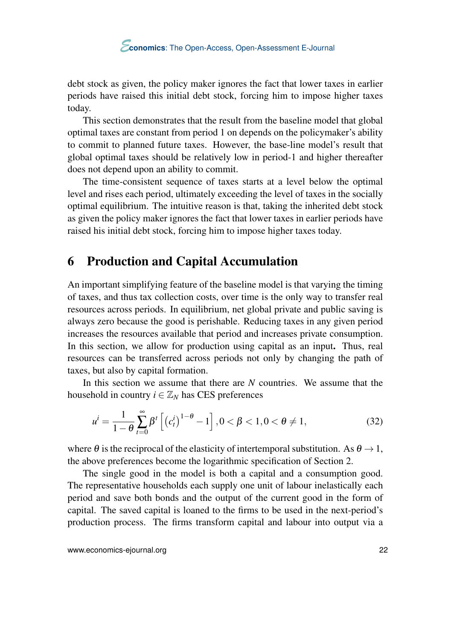debt stock as given, the policy maker ignores the fact that lower taxes in earlier periods have raised this initial debt stock, forcing him to impose higher taxes today.

This section demonstrates that the result from the baseline model that global optimal taxes are constant from period 1 on depends on the policymaker's ability to commit to planned future taxes. However, the base-line model's result that global optimal taxes should be relatively low in period-1 and higher thereafter does not depend upon an ability to commit.

The time-consistent sequence of taxes starts at a level below the optimal level and rises each period, ultimately exceeding the level of taxes in the socially optimal equilibrium. The intuitive reason is that, taking the inherited debt stock as given the policy maker ignores the fact that lower taxes in earlier periods have raised his initial debt stock, forcing him to impose higher taxes today.

### 6 Production and Capital Accumulation

An important simplifying feature of the baseline model is that varying the timing of taxes, and thus tax collection costs, over time is the only way to transfer real resources across periods. In equilibrium, net global private and public saving is always zero because the good is perishable. Reducing taxes in any given period increases the resources available that period and increases private consumption. In this section, we allow for production using capital as an input. Thus, real resources can be transferred across periods not only by changing the path of taxes, but also by capital formation.

In this section we assume that there are *N* countries. We assume that the household in country  $i \in \mathbb{Z}_N$  has CES preferences

$$
u^{i} = \frac{1}{1-\theta} \sum_{t=0}^{\infty} \beta^{t} \left[ \left( c_{t}^{i} \right)^{1-\theta} - 1 \right], 0 < \beta < 1, 0 < \theta \neq 1,
$$
 (32)

where  $\theta$  is the reciprocal of the elasticity of intertemporal substitution. As  $\theta \rightarrow 1$ , the above preferences become the logarithmic specification of Section 2.

The single good in the model is both a capital and a consumption good. The representative households each supply one unit of labour inelastically each period and save both bonds and the output of the current good in the form of capital. The saved capital is loaned to the firms to be used in the next-period's production process. The firms transform capital and labour into output via a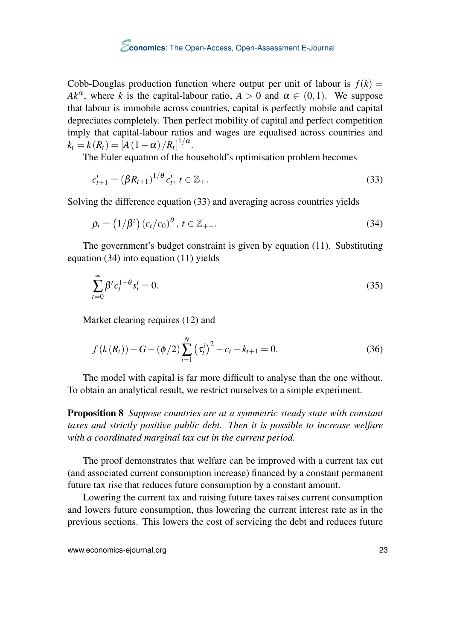Cobb-Douglas production function where output per unit of labour is  $f(k) =$ *Ak<sup>a</sup>*, where *k* is the capital-labour ratio,  $A > 0$  and  $\alpha \in (0,1)$ . We suppose that labour is immobile across countries, capital is perfectly mobile and capital depreciates completely. Then perfect mobility of capital and perfect competition imply that capital-labour ratios and wages are equalised across countries and  $k_t = k(R_t) = [A(1-\alpha)/R_t]^{1/\alpha}.$ 

The Euler equation of the household's optimisation problem becomes

$$
c_{t+1}^i = (\beta R_{t+1})^{1/\theta} c_t^i, t \in \mathbb{Z}_+.
$$
\n(33)

Solving the difference equation (33) and averaging across countries yields

$$
\rho_t = \left(1/\beta^t\right) \left(c_t/c_0\right)^{\theta}, \ t \in \mathbb{Z}_{++}.\tag{34}
$$

The government's budget constraint is given by equation (11). Substituting equation (34) into equation (11) yields

$$
\sum_{t=0}^{\infty} \beta^t c_t^{1-\theta} s_t^i = 0.
$$
\n(35)

Market clearing requires (12) and

$$
f(k(R_t)) - G - (\phi/2) \sum_{i=1}^{N} (\tau_t^i)^2 - c_t - k_{t+1} = 0.
$$
 (36)

The model with capital is far more difficult to analyse than the one without. To obtain an analytical result, we restrict ourselves to a simple experiment.

Proposition 8 *Suppose countries are at a symmetric steady state with constant taxes and strictly positive public debt. Then it is possible to increase welfare with a coordinated marginal tax cut in the current period.*

The proof demonstrates that welfare can be improved with a current tax cut (and associated current consumption increase) financed by a constant permanent future tax rise that reduces future consumption by a constant amount.

Lowering the current tax and raising future taxes raises current consumption and lowers future consumption, thus lowering the current interest rate as in the previous sections. This lowers the cost of servicing the debt and reduces future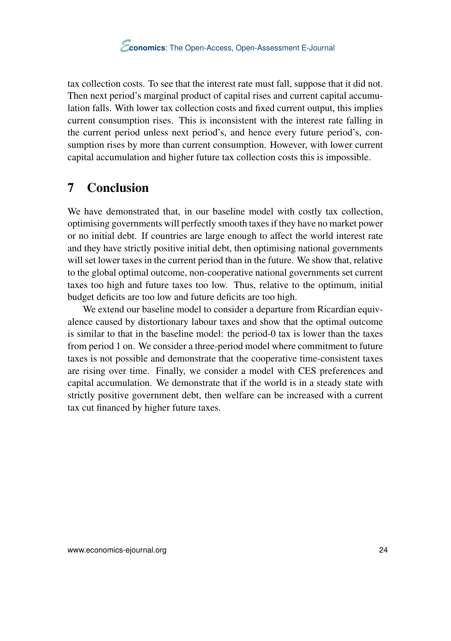tax collection costs. To see that the interest rate must fall, suppose that it did not. Then next period's marginal product of capital rises and current capital accumulation falls. With lower tax collection costs and fixed current output, this implies current consumption rises. This is inconsistent with the interest rate falling in the current period unless next period's, and hence every future period's, consumption rises by more than current consumption. However, with lower current capital accumulation and higher future tax collection costs this is impossible.

# 7 Conclusion

We have demonstrated that, in our baseline model with costly tax collection, optimising governments will perfectly smooth taxes if they have no market power or no initial debt. If countries are large enough to affect the world interest rate and they have strictly positive initial debt, then optimising national governments will set lower taxes in the current period than in the future. We show that, relative to the global optimal outcome, non-cooperative national governments set current taxes too high and future taxes too low. Thus, relative to the optimum, initial budget deficits are too low and future deficits are too high.

We extend our baseline model to consider a departure from Ricardian equivalence caused by distortionary labour taxes and show that the optimal outcome is similar to that in the baseline model: the period-0 tax is lower than the taxes from period 1 on. We consider a three-period model where commitment to future taxes is not possible and demonstrate that the cooperative time-consistent taxes are rising over time. Finally, we consider a model with CES preferences and capital accumulation. We demonstrate that if the world is in a steady state with strictly positive government debt, then welfare can be increased with a current tax cut financed by higher future taxes.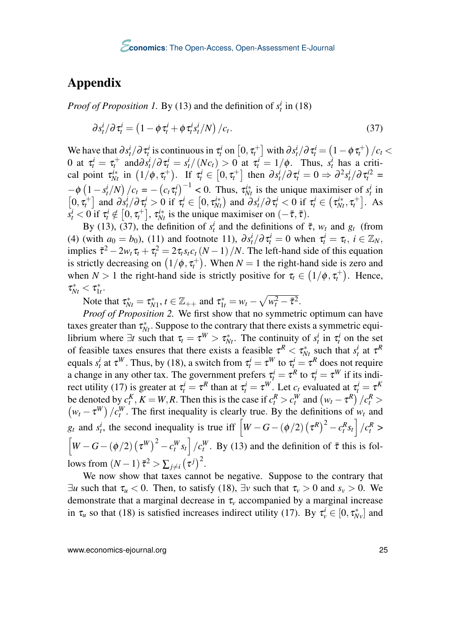### Appendix

*Proof of Proposition 1.* By (13) and the definition of  $s_t^i$  in (18)

$$
\partial s_t^i / \partial \tau_t^i = \left(1 - \phi \tau_t^i + \phi \tau_t^i s_t^i / N\right) / c_t. \tag{37}
$$

We have that  $\partial s_t^i / \partial \tau_t^i$  is continuous in  $\tau_t^i$  on  $[0, \tau_t^+]$  with  $\partial s_t^i / \partial \tau_t^i = (1 - \phi \tau_t^+) / c_t <$ *t* is continuous in  $\tau_t$  on  $[0, \tau_t]$  with  $\sigma s_t / \sigma \tau_t = (1 - \psi \tau_t)$ 0 at  $\tau_t^i = \tau_t^+$  and  $\frac{\partial s_t^i}{\partial \tau_t^i} = \frac{s_t^i}{(Nc_t)} > 0$  at  $\tau_t^i = \frac{1}{\phi}$ . Thus,  $s_t^i$  has a critical point  $\tau_{Nt}^{i*}$  in  $(1/\phi, \tau_t^+)$ . If  $\tau_t^i \in [0, \tau_t^+]$  then  $\partial s_t^i / \partial \tau_t^i = 0 \Rightarrow \partial^2 s_t^i / \partial \tau_t^{i2} = 0$  $-\phi\left(1-s_t^i/N\right)/c_t = -(c_t\tau_t^i)^{-1} < 0$ . Thus,  $\tau_{Nt}^{i*}$  is the unique maximiser of  $s_t^i$  in  $[0, \tau_t^+]$  and  $\partial s_t^i / \partial \tau_t^i > 0$  if  $\tau_t^i \in [0, \tau_{Nt}^i)$  and  $\partial s_t^i / \partial \tau_t^i < 0$  if  $\tau_t^i \in (\tau_{Nt}^{i*}, \tau_t^+]$ . As  $s_t^i < 0$  if  $\tau_t^i \notin [0, \tau_t^+]$ ,  $\tau_{Nt}^{i*}$  is the unique maximiser on  $(-\overline{\tau}, \overline{\tau})$ .

By (13), (37), the definition of  $s_t^i$  and the definitions of  $\bar{\tau}$ ,  $w_t$  and  $g_t$  (from (4) (with  $a_0 = b_0$ ), (11) and footnote 11),  $\frac{\partial s_t^i}{\partial \tau_t^i} = 0$  when  $\tau_t^i = \tau_t$ ,  $i \in \mathbb{Z}_N$ , implies  $\bar{\tau}^2 - 2w_t \tau_t + \tau_t^2 = 2 \tau_t s_t c_t (N - 1) / N$ . The left-hand side of this equation is strictly decreasing on  $(1/\phi, \tau_t^+)$ . When  $N = 1$  the right-hand side is zero and when  $N > 1$  the right-hand side is strictly positive for  $\tau_t \in (1/\phi, \tau_t^+)$ . Hence,  $\tau_{Nt}^* < \tau_{1t}^*$ .

Note that  $\tau_{Nt}^* = \tau_{N1}^*$ ,  $t \in \mathbb{Z}_{++}$  and  $\tau_{1t}^* = w_t - \sqrt{w_t^2 - \bar{\tau}^2}$ .

*Proof of Proposition 2.* We first show that no symmetric optimum can have taxes greater than  $\tau_{Nt}^*$ . Suppose to the contrary that there exists a symmetric equilibrium where  $\exists t$  such that  $\tau_t = \tau^W > \tau^*_{Nt}$ . The continuity of  $s_t^i$  in  $\tau_t^i$  on the set of feasible taxes ensures that there exists a feasible  $\tau^R < \tau^*_{Nt}$  such that  $s^i_t$  at  $\tau^R$ equals  $s_t^i$  at  $\tau^W$ . Thus, by (18), a switch from  $\tau_t^i = \tau^W$  to  $\tau_t^i = \tau^R$  does not require a change in any other tax. The government prefers  $\tau_i^i = \tau^R$  to  $\tau_i^i = \tau^W$  if its indirect utility (17) is greater at  $\tau_t^i = \tau^R$  than at  $\tau_t^i = \tau^W$ . Let  $c_t$  evaluated at  $\tau_t^i = \tau^K$ be denoted by  $c_t^K$ ,  $K = W, R$ . Then this is the case if  $c_t^R > c_t^W$  and  $(w_t - \tau^R)/c_t^R >$  $(w_t - \tau^W)/c_t^W$ . The first inequality is clearly true. By the definitions of  $w_t$  and *g<sub>t</sub>* and  $s_t^i$ , the second inequality is true iff  $\left[W - G - (\phi/2) (\tau^R)^2 - c_t^R s_t\right] / c_t^R > 0$  $\left[W - G - (\phi/2) (\tau^W)^2 - c_t^W s_t\right] / c_t^W$ . By (13) and the definition of  $\bar{\tau}$  this is follows from  $(N-1) \bar{\tau}^2 > \sum_{j \neq i} (\tau^j)^2$ .

We now show that taxes cannot be negative. Suppose to the contrary that ∃*u* such that τ*<sup>u</sup>* < 0. Then, to satisfy (18), ∃*v* such that τ*<sup>v</sup>* > 0 and *s<sup>v</sup>* > 0. We demonstrate that a marginal decrease in  $\tau$ <sub>*v*</sub> accompanied by a marginal increase in  $\tau_u$  so that (18) is satisfied increases indirect utility (17). By  $\tau_v^i \in [0, \tau_{NV}^*]$  and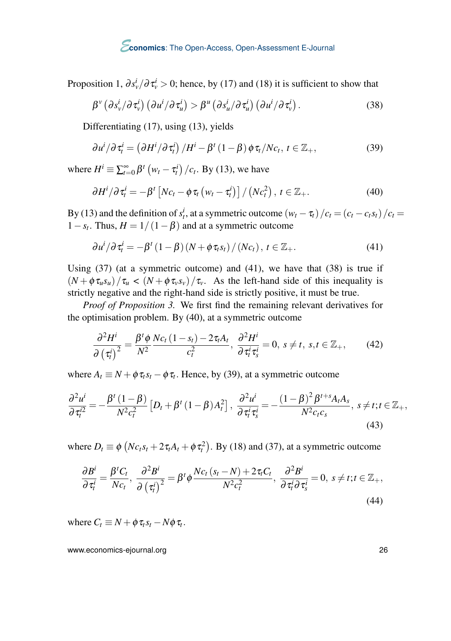Proposition 1,  $\partial s_v^i / \partial \tau_v^i > 0$ ; hence, by (17) and (18) it is sufficient to show that

$$
\beta^{\nu} \left( \partial s_{\nu}^{i} / \partial \tau_{\nu}^{i} \right) \left( \partial u^{i} / \partial \tau_{u}^{i} \right) > \beta^{\mu} \left( \partial s_{u}^{i} / \partial \tau_{u}^{i} \right) \left( \partial u^{i} / \partial \tau_{\nu}^{i} \right). \tag{38}
$$

Differentiating (17), using (13), yields

$$
\partial u^{i}/\partial \tau_{t}^{i} = \left(\partial H^{i}/\partial \tau_{t}^{i}\right)/H^{i} - \beta^{t}\left(1-\beta\right)\phi\tau_{t}/Nc_{t}, t \in \mathbb{Z}_{+},
$$
\n(39)

where  $H^i \equiv \sum_{t=0}^{\infty} \beta^t \left( w_t - \tau_t^i \right) / c_t$ . By (13), we have

$$
\partial H^{i}/\partial \tau_{t}^{i} = -\beta^{t} \left[ N c_{t} - \phi \tau_{t} \left( w_{t} - \tau_{t}^{i} \right) \right] / \left( N c_{t}^{2} \right), \ t \in \mathbb{Z}_{+}.
$$
 (40)

By (13) and the definition of  $s_t^i$ , at a symmetric outcome  $(w_t - \tau_t)/c_t = (c_t - c_t s_t)/c_t$  $1 - s_t$ . Thus,  $H = 1/(1 - \beta)$  and at a symmetric outcome

$$
\frac{\partial u^i}{\partial \tau_i^i} = -\beta^t \left(1 - \beta\right) \left(N + \phi \tau_i s_t\right) / \left(N c_t\right), \ t \in \mathbb{Z}_+.\tag{41}
$$

Using  $(37)$  (at a symmetric outcome) and  $(41)$ , we have that  $(38)$  is true if  $(N + \phi \tau_u s_u)/\tau_u < (N + \phi \tau_v s_v)/\tau_v$ . As the left-hand side of this inequality is strictly negative and the right-hand side is strictly positive, it must be true.

*Proof of Proposition 3.* We first find the remaining relevant derivatives for the optimisation problem. By (40), at a symmetric outcome

$$
\frac{\partial^2 H^i}{\partial \left(\tau_t^i\right)^2} = \frac{\beta^t \phi}{N^2} \frac{N c_t \left(1 - s_t\right) - 2\tau_t A_t}{c_t^2}, \; \frac{\partial^2 H^i}{\partial \tau_t^i \tau_s^i} = 0, \; s \neq t, \; s, t \in \mathbb{Z}_+, \tag{42}
$$

where  $A_t \equiv N + \phi \tau_t s_t - \phi \tau_t$ . Hence, by (39), at a symmetric outcome

$$
\frac{\partial^2 u^i}{\partial \tau_i^{i2}} = -\frac{\beta^t (1-\beta)}{N^2 c_i^2} \left[ D_t + \beta^t (1-\beta) A_t^2 \right], \frac{\partial^2 u^i}{\partial \tau_i^i \tau_s^i} = -\frac{(1-\beta)^2 \beta^{t+s} A_t A_s}{N^2 c_t c_s}, s \neq t; t \in \mathbb{Z}_+,
$$
\n(43)

where  $D_t \equiv \phi \left( N c_t s_t + 2 \tau_t A_t + \phi \tau_t^2 \right)$ . By (18) and (37), at a symmetric outcome

$$
\frac{\partial B^{i}}{\partial \tau_{t}^{i}} = \frac{\beta^{t} C_{t}}{N c_{t}}, \frac{\partial^{2} B^{i}}{\partial (\tau_{t}^{i})^{2}} = \beta^{t} \phi \frac{N c_{t} (s_{t} - N) + 2 \tau_{t} C_{t}}{N^{2} c_{t}^{2}}, \frac{\partial^{2} B^{i}}{\partial \tau_{t}^{i} \partial \tau_{s}^{i}} = 0, s \neq t; t \in \mathbb{Z}_{+},
$$
\n(44)

where  $C_t \equiv N + \phi \tau_t s_t - N \phi \tau_t$ .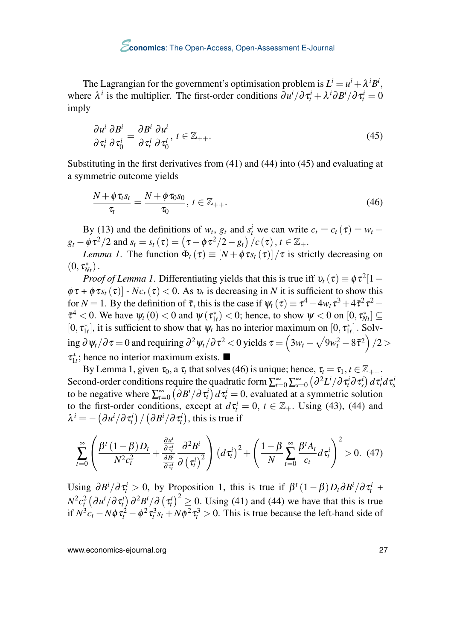*Conomics: The Open-Access, Open-Assessment E-Journal* 

The Lagrangian for the government's optimisation problem is  $L^i = u^i + \lambda^i B^i$ , where  $\lambda^i$  is the multiplier. The first-order conditions  $\partial u^i/\partial \tau_i^i + \lambda^i \partial B^i/\partial \tau_i^i = 0$ imply

$$
\frac{\partial u^i}{\partial \tau_i^i} \frac{\partial B^i}{\partial \tau_0^i} = \frac{\partial B^i}{\partial \tau_i^i} \frac{\partial u^i}{\partial \tau_0^i}, \ t \in \mathbb{Z}_{++}.
$$
\n(45)

Substituting in the first derivatives from (41) and (44) into (45) and evaluating at a symmetric outcome yields

$$
\frac{N+\phi\,\tau_t s_t}{\tau_t}=\frac{N+\phi\,\tau_0 s_0}{\tau_0},\ t\in\mathbb{Z}_{++}.
$$
\n(46)

By (13) and the definitions of  $w_t$ ,  $g_t$  and  $s_t^i$  we can write  $c_t = c_t(\tau) = w_t$  $g_t - \phi \tau^2 / 2$  and  $s_t = s_t(\tau) = (\tau - \phi \tau^2 / 2 - g_t) / c(\tau)$ ,  $t \in \mathbb{Z}_+$ .

*Lemma 1*. The function  $\Phi_t(\tau) \equiv [N + \phi \tau_{S_t}(\tau)]/\tau$  is strictly decreasing on  $(0,\tau_{Nt}^*)$  .

*Proof of Lemma 1*. Differentiating yields that this is true iff  $v_t(\tau) \equiv \phi \tau^2 [1 - \tau]$  $\phi \tau + \phi \tau s_t(\tau)$  - *Nc<sub>t</sub>* ( $\tau$ ) < 0. As  $v_t$  is decreasing in *N* it is sufficient to show this for  $N = 1$ . By the definition of  $\bar{\tau}$ , this is the case if  $\psi_t(\tau) \equiv \tau^4 - 4w_t \tau^3 + 4\bar{\tau}^2 \tau^2 \bar{\tau}^4$  < 0. We have  $\psi_t(0)$  < 0 and  $\psi(\tau_{1t}^*)$  < 0; hence, to show  $\psi$  < 0 on  $[0, \tau_{Nt}^*] \subseteq$ [0,  $\tau_{1t}^*$ ], it is sufficient to show that  $\psi_t$  has no interior maximum on [0,  $\tau_{1t}^*$ ]. Solv- $\int \int \sin\theta \, d\theta \, d\theta = 0$  and requiring  $\partial^2 \psi_t/\partial \tau^2 < 0$  yields  $\tau = \left(3w_t - \sqrt{9w_t^2 - 8\bar{\tau}^2}\right)/2 > 0$  $\tau_{1t}^*$ ; hence no interior maximum exists.

By Lemma 1, given  $\tau_0$ , a  $\tau_t$  that solves (46) is unique; hence,  $\tau_t = \tau_1$ ,  $t \in \mathbb{Z}_{++}$ . Second-order conditions require the quadratic form  $\sum_{t=0}^{\infty}\sum_{s=0}^{\infty}\left(\partial^2L^i/\partial\tau^i_t\partial\tau^i_s\right)d\tau^i_t d\tau^i_s$ to be negative where  $\sum_{t=0}^{\infty} (\partial B^i/\partial \tau_t^i) d\tau_t^i = 0$ , evaluated at a symmetric solution to the first-order conditions, except at  $d\tau_i^i = 0$ ,  $t \in \mathbb{Z}_+$ . Using (43), (44) and  $\lambda^{i} = -\left(\partial u^{i}/\partial \tau^{i}_{t}\right) / \left(\partial B^{i}/\partial \tau^{i}_{t}\right)$ , this is true if

$$
\sum_{t=0}^{\infty} \left( \frac{\beta^t (1-\beta) D_t}{N^2 c_t^2} + \frac{\frac{\partial u^i}{\partial \tau_i^i}}{\frac{\partial B^i}{\partial \tau_i^i}} \frac{\partial^2 B^i}{\partial (\tau_i^i)^2} \right) (d\tau_i^i)^2 + \left( \frac{1-\beta}{N} \sum_{t=0}^{\infty} \frac{\beta^t A_t}{c_t} d\tau_i^i \right)^2 > 0. \tag{47}
$$

Using  $\partial B^i/\partial \tau_i^i > 0$ , by Proposition 1, this is true if  $\beta^i(1-\beta)D_t\partial B^i/\partial \tau_i^i$  +  $N^2 c_t^2 (\partial u^i / \partial \tau_t^i) \partial^2 B^i / \partial (\tau_t^i)^2 \ge 0$ . Using (41) and (44) we have that this is true if  $N^3c_t - N\phi \tau_t^2 - \phi^2 \tau_t^3 s_t + N\phi^2 \tau_t^3 > 0$ . This is true because the left-hand side of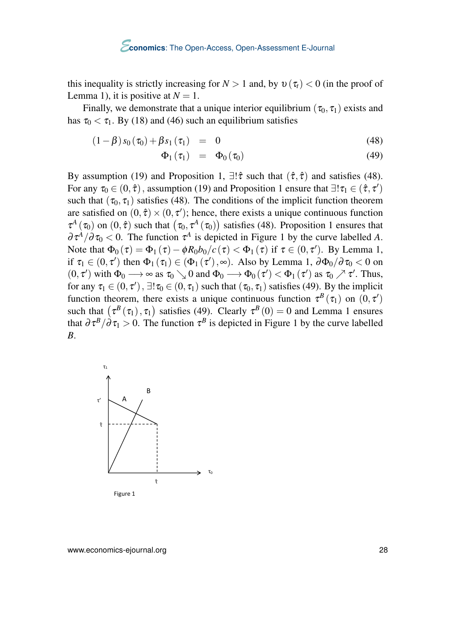this inequality is strictly increasing for  $N > 1$  and, by  $v(\tau_i) < 0$  (in the proof of Lemma 1), it is positive at  $N = 1$ .

Finally, we demonstrate that a unique interior equilibrium  $(\tau_0, \tau_1)$  exists and has  $\tau_0 < \tau_1$ . By (18) and (46) such an equilibrium satisfies

$$
(1 - \beta) s_0(\tau_0) + \beta s_1(\tau_1) = 0 \tag{48}
$$

$$
\Phi_1(\tau_1) = \Phi_0(\tau_0) \tag{49}
$$

By assumption (19) and Proposition 1,  $\exists !\hat{\tau}$  such that  $(\hat{\tau}, \hat{\tau})$  and satisfies (48). For any  $\tau_0 \in (0, \hat{\tau})$ , assumption (19) and Proposition 1 ensure that  $\exists! \tau_1 \in (\hat{\tau}, \tau')$ such that  $(\tau_0, \tau_1)$  satisfies (48). The conditions of the implicit function theorem are satisfied on  $(0, \hat{\tau}) \times (0, \tau')$ ; hence, there exists a unique continuous function  $\tau^A(\tau_0)$  on  $(0, \hat{\tau})$  such that  $(\tau_0, \tau^A(\tau_0))$  satisfies (48). Proposition 1 ensures that  $\partial \tau^A / \partial \tau_0 < 0$ . The function  $\tau^A$  is depicted in Figure 1 by the curve labelled *A*. Note that  $\Phi_0(\tau) = \Phi_1(\tau) - \phi R_0 b_0/c(\tau) < \Phi_1(\tau)$  if  $\tau \in (0, \tau')$ . By Lemma 1, if  $\tau_1 \in (0, \tau')$  then  $\Phi_1(\tau_1) \in (\Phi_1(\tau'), \infty)$ . Also by Lemma 1,  $\partial \Phi_0 / \partial \tau_0 < 0$  on  $(0, \tau')$  with  $\Phi_0 \longrightarrow \infty$  as  $\tau_0 \searrow 0$  and  $\Phi_0 \longrightarrow \Phi_0(\tau') < \Phi_1(\tau')$  as  $\tau_0 \nearrow \tau'$ . Thus, for any  $\tau_1 \in (0, \tau')$ ,  $\exists! \tau_0 \in (0, \tau_1)$  such that  $(\tau_0, \tau_1)$  satisfies (49). By the implicit function theorem, there exists a unique continuous function  $\tau^B(\tau_1)$  on  $(0, \tau')$ such that  $(\tau^B(\tau_1), \tau_1)$  satisfies (49). Clearly  $\tau^B(0) = 0$  and Lemma 1 ensures that  $\partial \tau^B / \partial \tau_1 > 0$ . The function  $\tau^B$  is depicted in Figure 1 by the curve labelled *B*.

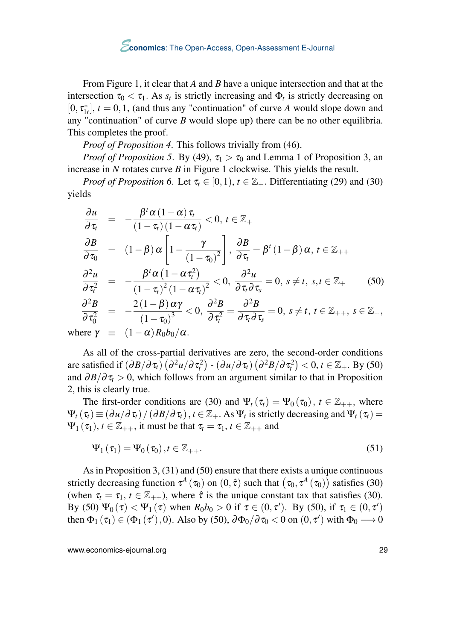From Figure 1, it clear that *A* and *B* have a unique intersection and that at the intersection  $\tau_0 < \tau_1$ . As  $s_t$  is strictly increasing and  $\Phi_t$  is strictly decreasing on  $[0, \tau_{1t}^*], t = 0, 1$ , (and thus any "continuation" of curve *A* would slope down and any "continuation" of curve *B* would slope up) there can be no other equilibria. This completes the proof.

*Proof of Proposition 4*. This follows trivially from (46).

*Proof of Proposition 5.* By (49),  $\tau_1 > \tau_0$  and Lemma 1 of Proposition 3, an increase in *N* rotates curve *B* in Figure 1 clockwise. This yields the result.

*Proof of Proposition 6.* Let  $\tau_t \in [0,1)$ ,  $t \in \mathbb{Z}_+$ . Differentiating (29) and (30) yields

$$
\begin{array}{rcl}\n\frac{\partial u}{\partial \tau_{t}} &=& -\frac{\beta^{t} \alpha (1 - \alpha) \tau_{t}}{(1 - \tau_{t}) (1 - \alpha \tau_{t})} < 0, \ t \in \mathbb{Z}_{+} \\
\frac{\partial B}{\partial \tau_{0}} &=& (1 - \beta) \alpha \left[ 1 - \frac{\gamma}{(1 - \tau_{0})^{2}} \right], \ \frac{\partial B}{\partial \tau_{t}} = \beta^{t} (1 - \beta) \alpha, \ t \in \mathbb{Z}_{++} \\
\frac{\partial^{2} u}{\partial \tau_{t}^{2}} &=& -\frac{\beta^{t} \alpha (1 - \alpha \tau_{t}^{2})}{(1 - \tau_{t})^{2} (1 - \alpha \tau_{t})^{2}} < 0, \ \frac{\partial^{2} u}{\partial \tau_{t} \partial \tau_{s}} = 0, \ s \neq t, \ s, t \in \mathbb{Z}_{+} \\
\frac{\partial^{2} B}{\partial \tau_{0}^{2}} &=& -\frac{2 (1 - \beta) \alpha \gamma}{(1 - \tau_{0})^{3}} < 0, \ \frac{\partial^{2} B}{\partial \tau_{t}^{2}} = \frac{\partial^{2} B}{\partial \tau_{t} \partial \tau_{s}} = 0, \ s \neq t, \ t \in \mathbb{Z}_{++}, \ s \in \mathbb{Z}_{+},\n\end{array}
$$

where  $\gamma \equiv (1-\alpha)R_0b_0/\alpha$ .

As all of the cross-partial derivatives are zero, the second-order conditions are satisfied if  $(\partial B/\partial \tau_t)\left(\partial^2 u/\partial \tau_t^2\right)$  -  $(\partial u/\partial \tau_t)\left(\partial^2 B/\partial \tau_t^2\right) < 0, t \in \mathbb{Z}_+$ . By (50) and  $\partial B/\partial \tau_t > 0$ , which follows from an argument similar to that in Proposition 2, this is clearly true.

The first-order conditions are (30) and  $\Psi_t(\tau_t) = \Psi_0(\tau_0)$ ,  $t \in \mathbb{Z}_{++}$ , where  $\Psi_t(\tau_t) \equiv \left(\frac{\partial u}{\partial \tau_t}\right) / \left(\frac{\partial B}{\partial \tau_t}\right), t \in \mathbb{Z}_+$ . As  $\Psi_t$  is strictly decreasing and  $\Psi_t(\tau_t) =$  $\Psi_1(\tau_1)$ ,  $t \in \mathbb{Z}_{++}$ , it must be that  $\tau_t = \tau_1$ ,  $t \in \mathbb{Z}_{++}$  and

$$
\Psi_1(\tau_1) = \Psi_0(\tau_0), t \in \mathbb{Z}_{++}.
$$
\n(51)

As in Proposition 3, (31) and (50) ensure that there exists a unique continuous strictly decreasing function  $\tau^A(\tau_0)$  on  $(0, \hat{\tau})$  such that  $(\tau_0, \tau^A(\tau_0))$  satisfies (30) (when  $\tau_t = \tau_1$ ,  $t \in \mathbb{Z}_{++}$ ), where  $\hat{\tau}$  is the unique constant tax that satisfies (30). By (50)  $\Psi_0(\tau) < \Psi_1(\tau)$  when  $R_0 b_0 > 0$  if  $\tau \in (0, \tau')$ . By (50), if  $\tau_1 \in (0, \tau')$ then  $\Phi_1(\tau_1) \in (\Phi_1(\tau'), 0)$ . Also by (50),  $\partial \Phi_0 / \partial \tau_0 < 0$  on  $(0, \tau')$  with  $\Phi_0 \longrightarrow 0$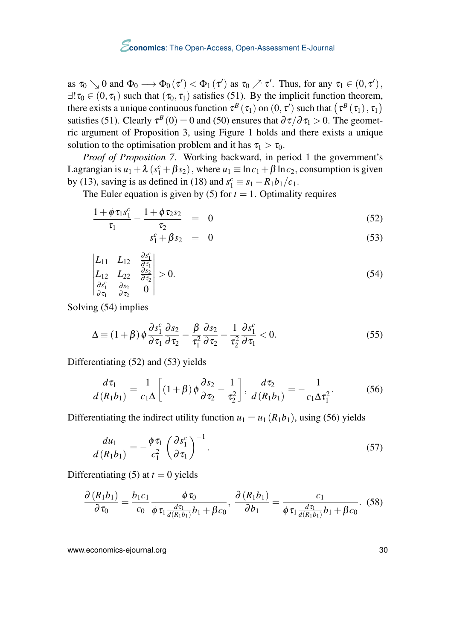### *Economics:* The Open-Access, Open-Assessment E-Journal

as  $\tau_0 \searrow 0$  and  $\Phi_0 \longrightarrow \Phi_0(\tau') < \Phi_1(\tau')$  as  $\tau_0 \nearrow \tau'$ . Thus, for any  $\tau_1 \in (0, \tau')$ ,  $\exists! \tau_0 \in (0, \tau_1)$  such that  $(\tau_0, \tau_1)$  satisfies (51). By the implicit function theorem, there exists a unique continuous function  $\tau^B(\tau_1)$  on  $(0, \tau')$  such that  $(\tau^B(\tau_1), \tau_1)$ satisfies (51). Clearly  $\tau^{B}(0) = 0$  and (50) ensures that  $\partial \tau / \partial \tau_1 > 0$ . The geometric argument of Proposition 3, using Figure 1 holds and there exists a unique solution to the optimisation problem and it has  $\tau_1 > \tau_0$ .

*Proof of Proposition 7*. Working backward, in period 1 the government's Lagrangian is  $u_1 + \lambda (s_1^c + \beta s_2)$ , where  $u_1 \equiv \ln c_1 + \beta \ln c_2$ , consumption is given by (13), saving is as defined in (18) and  $s_1^c \equiv s_1 - R_1 b_1/c_1$ .

The Euler equation is given by  $(5)$  for  $t = 1$ . Optimality requires

$$
\frac{1+\phi \tau_1 s_1^c}{\tau_1} - \frac{1+\phi \tau_2 s_2}{\tau_2} = 0 \tag{52}
$$

$$
s_1^c + \beta s_2 = 0 \tag{53}
$$

$$
\begin{vmatrix} L_{11} & L_{12} & \frac{\partial s_1^c}{\partial \tau_1} \\ L_{12} & L_{22} & \frac{\partial s_2}{\partial \tau_2} \\ \frac{\partial s_1^c}{\partial \tau_1} & \frac{\partial s_2}{\partial \tau_2} & 0 \end{vmatrix} > 0.
$$
 (54)

Solving (54) implies

$$
\Delta \equiv (1+\beta) \phi \frac{\partial s_1^c}{\partial \tau_1} \frac{\partial s_2}{\partial \tau_2} - \frac{\beta}{\tau_1^2} \frac{\partial s_2}{\partial \tau_2} - \frac{1}{\tau_2^2} \frac{\partial s_1^c}{\partial \tau_1} < 0. \tag{55}
$$

Differentiating (52) and (53) yields

$$
\frac{d\tau_1}{d(R_1b_1)} = \frac{1}{c_1\Delta} \left[ (1+\beta)\phi \frac{\partial s_2}{\partial \tau_2} - \frac{1}{\tau_2^2} \right], \frac{d\tau_2}{d(R_1b_1)} = -\frac{1}{c_1\Delta\tau_1^2}.
$$
 (56)

Differentiating the indirect utility function  $u_1 = u_1 (R_1 b_1)$ , using (56) yields

$$
\frac{du_1}{d\left(R_1b_1\right)} = -\frac{\phi\,\tau_1}{c_1^2} \left(\frac{\partial s_1^c}{\partial\,\tau_1}\right)^{-1}.\tag{57}
$$

Differentiating (5) at  $t = 0$  yields

$$
\frac{\partial (R_1b_1)}{\partial \tau_0} = \frac{b_1c_1}{c_0} \frac{\phi \tau_0}{\phi \tau_1 \frac{d\tau_1}{d(R_1b_1)} b_1 + \beta c_0}, \quad \frac{\partial (R_1b_1)}{\partial b_1} = \frac{c_1}{\phi \tau_1 \frac{d\tau_1}{d(R_1b_1)} b_1 + \beta c_0}.
$$
(58)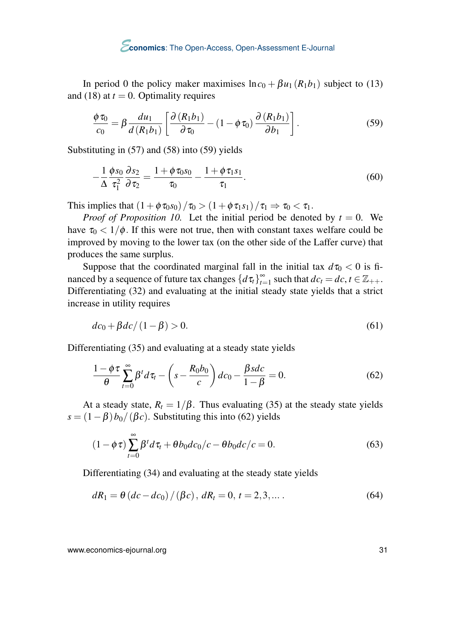### *Conomics:* The Open-Access, Open-Assessment E-Journal

In period 0 the policy maker maximises  $\ln c_0 + \beta u_1 (R_1 b_1)$  subject to (13) and (18) at  $t = 0$ . Optimality requires

$$
\frac{\phi \tau_0}{c_0} = \beta \frac{du_1}{d(R_1 b_1)} \left[ \frac{\partial (R_1 b_1)}{\partial \tau_0} - (1 - \phi \tau_0) \frac{\partial (R_1 b_1)}{\partial b_1} \right].
$$
\n(59)

Substituting in (57) and (58) into (59) yields

$$
-\frac{1}{\Delta} \frac{\phi s_0}{\tau_1^2} \frac{\partial s_2}{\partial \tau_2} = \frac{1 + \phi \tau_0 s_0}{\tau_0} - \frac{1 + \phi \tau_1 s_1}{\tau_1}.
$$
(60)

This implies that  $(1+\phi \tau_0 s_0)/\tau_0 > (1+\phi \tau_1 s_1)/\tau_1 \Rightarrow \tau_0 < \tau_1$ .

*Proof of Proposition 10.* Let the initial period be denoted by  $t = 0$ . We have  $\tau_0 < 1/\phi$ . If this were not true, then with constant taxes welfare could be improved by moving to the lower tax (on the other side of the Laffer curve) that produces the same surplus.

Suppose that the coordinated marginal fall in the initial tax  $d\tau_0 < 0$  is financed by a sequence of future tax changes  $\{d\tau_t\}_{t=1}^{\infty}$  such that  $dc_t = dc, t \in \mathbb{Z}_{++}$ . Differentiating (32) and evaluating at the initial steady state yields that a strict increase in utility requires

$$
dc_0 + \beta dc/(1 - \beta) > 0. \tag{61}
$$

Differentiating (35) and evaluating at a steady state yields

$$
\frac{1-\phi\tau}{\theta}\sum_{t=0}^{\infty}\beta^{t}d\tau_{t}-\left(s-\frac{R_{0}b_{0}}{c}\right)dc_{0}-\frac{\beta sdc}{1-\beta}=0.
$$
\n(62)

At a steady state,  $R_t = 1/\beta$ . Thus evaluating (35) at the steady state yields  $s = (1 - \beta) b_0 / (\beta c)$ . Substituting this into (62) yields

$$
(1 - \phi \tau) \sum_{t=0}^{\infty} \beta^t d\tau_t + \theta b_0 dc_0/c - \theta b_0 dc/c = 0.
$$
 (63)

Differentiating (34) and evaluating at the steady state yields

$$
dR_1 = \theta \left( dc - dc_0 \right) / (\beta c), \, dR_t = 0, \, t = 2, 3, \dots \, . \tag{64}
$$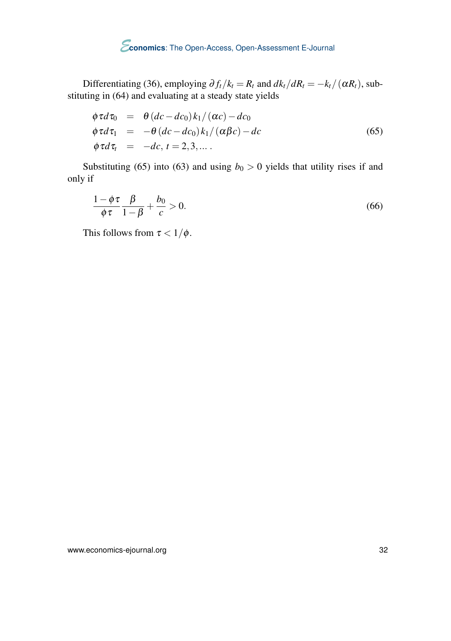**conomics**: The Open-Access, Open-Assessment E-Journal

Differentiating (36), employing  $\partial f_t/k_t = R_t$  and  $dk_t/dR_t = -k_t/(\alpha R_t)$ , substituting in (64) and evaluating at a steady state yields

$$
\begin{array}{rcl}\n\phi \tau d\tau_0 & = & \theta \left( dc - dc_0\right) k_1 / \left(\alpha c\right) - dc_0 \\
\phi \tau d\tau_1 & = & -\theta \left( dc - dc_0\right) k_1 / \left(\alpha \beta c\right) - dc \\
\phi \tau d\tau_t & = & -dc, \ t = 2, 3, \dots.\n\end{array} \tag{65}
$$

Substituting (65) into (63) and using  $b_0 > 0$  yields that utility rises if and only if

$$
\frac{1-\phi\tau}{\phi\tau}\frac{\beta}{1-\beta} + \frac{b_0}{c} > 0.
$$
\n(66)

This follows from  $\tau < 1/\phi$ .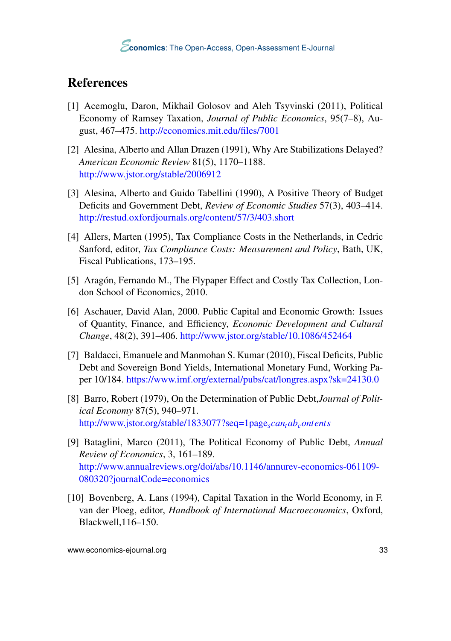# References

- [1] Acemoglu, Daron, Mikhail Golosov and Aleh Tsyvinski (2011), Political Economy of Ramsey Taxation, *Journal of Public Economics*, 95(7–8), August, 467–475. http://economics.mit.edu/files/7001
- [2] Alesina, Alberto and Allan Drazen (1991), Why Are Stabilizations Delayed? *American Economic Review* 81(5), 1170–1188. http://www.jstor.org/stable/2006912
- [3] Alesina, Alberto and Guido Tabellini (1990), A Positive Theory of Budget Deficits and Government Debt, *Review of Economic Studies* 57(3), 403–414. http://restud.oxfordjournals.org/content/57/3/403.short
- [4] Allers, Marten (1995), Tax Compliance Costs in the Netherlands, in Cedric Sanford, editor, *Tax Compliance Costs: Measurement and Policy*, Bath, UK, Fiscal Publications, 173–195.
- [5] Aragón, Fernando M., The Flypaper Effect and Costly Tax Collection, London School of Economics, 2010.
- [6] Aschauer, David Alan, 2000. Public Capital and Economic Growth: Issues of Quantity, Finance, and Efficiency, *Economic Development and Cultural Change*, 48(2), 391–406. http://www.jstor.org/stable/10.1086/452464
- [7] Baldacci, Emanuele and Manmohan S. Kumar (2010), Fiscal Deficits, Public Debt and Sovereign Bond Yields, International Monetary Fund, Working Paper 10/184. https://www.imf.org/external/pubs/cat/longres.aspx?sk=24130.0
- [8] Barro, Robert (1979), On the Determination of Public Debt,*Journal of Political Economy* 87(5), 940–971. http://www.jstor.org/stable/1833077?seq=1page*scantabcontents*
- [9] Bataglini, Marco (2011), The Political Economy of Public Debt, *Annual Review of Economics*, 3, 161–189. http://www.annualreviews.org/doi/abs/10.1146/annurev-economics-061109- 080320?journalCode=economics
- [10] Bovenberg, A. Lans (1994), Capital Taxation in the World Economy, in F. van der Ploeg, editor, *Handbook of International Macroeconomics*, Oxford, Blackwell,116–150.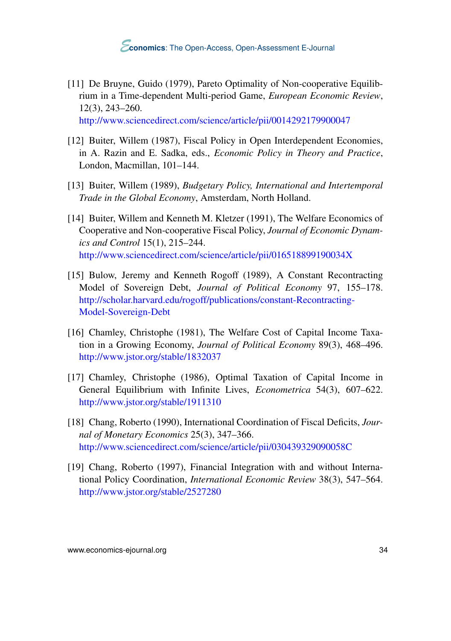[11] De Bruyne, Guido (1979), Pareto Optimality of Non-cooperative Equilibrium in a Time-dependent Multi-period Game, *European Economic Review*, 12(3), 243–260. http://www.sciencedirect.com/science/article/pii/0014292179900047

[12] Buiter, Willem (1987), Fiscal Policy in Open Interdependent Economies, in A. Razin and E. Sadka, eds., *Economic Policy in Theory and Practice*,

- London, Macmillan, 101–144.
- [13] Buiter, Willem (1989), *Budgetary Policy, International and Intertemporal Trade in the Global Economy*, Amsterdam, North Holland.
- [14] Buiter, Willem and Kenneth M. Kletzer (1991), The Welfare Economics of Cooperative and Non-cooperative Fiscal Policy, *Journal of Economic Dynamics and Control* 15(1), 215–244. http://www.sciencedirect.com/science/article/pii/016518899190034X
- [15] Bulow, Jeremy and Kenneth Rogoff (1989), A Constant Recontracting Model of Sovereign Debt, *Journal of Political Economy* 97, 155–178. http://scholar.harvard.edu/rogoff/publications/constant-Recontracting-Model-Sovereign-Debt
- [16] Chamley, Christophe (1981), The Welfare Cost of Capital Income Taxation in a Growing Economy, *Journal of Political Economy* 89(3), 468–496. http://www.jstor.org/stable/1832037
- [17] Chamley, Christophe (1986), Optimal Taxation of Capital Income in General Equilibrium with Infinite Lives, *Econometrica* 54(3), 607–622. http://www.jstor.org/stable/1911310
- [18] Chang, Roberto (1990), International Coordination of Fiscal Deficits, *Journal of Monetary Economics* 25(3), 347–366. http://www.sciencedirect.com/science/article/pii/030439329090058C
- [19] Chang, Roberto (1997), Financial Integration with and without International Policy Coordination, *International Economic Review* 38(3), 547–564. http://www.jstor.org/stable/2527280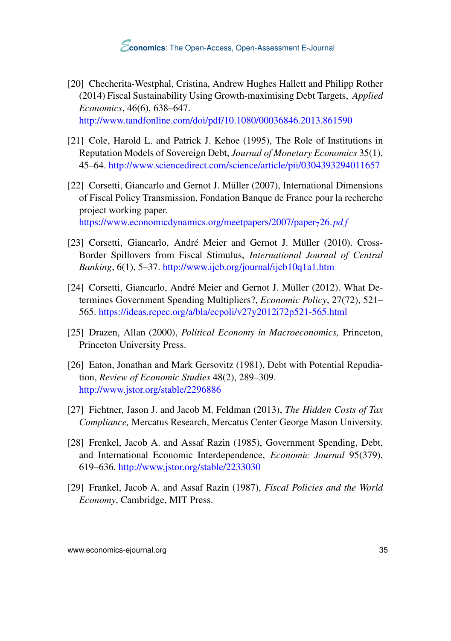- [20] Checherita-Westphal, Cristina, Andrew Hughes Hallett and Philipp Rother (2014) Fiscal Sustainability Using Growth-maximising Debt Targets, *Applied Economics*, 46(6), 638–647. http://www.tandfonline.com/doi/pdf/10.1080/00036846.2013.861590
- [21] Cole, Harold L. and Patrick J. Kehoe (1995), The Role of Institutions in Reputation Models of Sovereign Debt, *Journal of Monetary Economics* 35(1), 45–64. http://www.sciencedirect.com/science/article/pii/0304393294011657
- [22] Corsetti, Giancarlo and Gernot J. Müller (2007), International Dimensions of Fiscal Policy Transmission, Fondation Banque de France pour la recherche project working paper. https://www.economicdynamics.org/meetpapers/2007/paper<sub>7</sub>26.*pd f*
- [23] Corsetti, Giancarlo, André Meier and Gernot J. Müller (2010). Cross-Border Spillovers from Fiscal Stimulus, *International Journal of Central Banking*, 6(1), 5–37. http://www.ijcb.org/journal/ijcb10q1a1.htm
- [24] Corsetti, Giancarlo, André Meier and Gernot J. Müller (2012). What Determines Government Spending Multipliers?, *Economic Policy*, 27(72), 521– 565. https://ideas.repec.org/a/bla/ecpoli/v27y2012i72p521-565.html
- [25] Drazen, Allan (2000), *Political Economy in Macroeconomics,* Princeton, Princeton University Press.
- [26] Eaton, Jonathan and Mark Gersovitz (1981), Debt with Potential Repudiation, *Review of Economic Studies* 48(2), 289–309. http://www.jstor.org/stable/2296886
- [27] Fichtner, Jason J. and Jacob M. Feldman (2013), *The Hidden Costs of Tax Compliance,* Mercatus Research, Mercatus Center George Mason University.
- [28] Frenkel, Jacob A. and Assaf Razin (1985), Government Spending, Debt, and International Economic Interdependence, *Economic Journal* 95(379), 619–636. http://www.jstor.org/stable/2233030
- [29] Frankel, Jacob A. and Assaf Razin (1987), *Fiscal Policies and the World Economy*, Cambridge, MIT Press.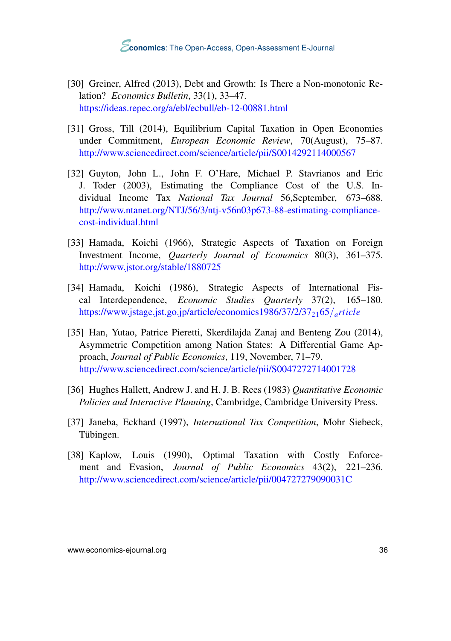- [30] Greiner, Alfred (2013), Debt and Growth: Is There a Non-monotonic Relation? *Economics Bulletin*, 33(1), 33–47. https://ideas.repec.org/a/ebl/ecbull/eb-12-00881.html
- [31] Gross, Till (2014), Equilibrium Capital Taxation in Open Economies under Commitment, *European Economic Review*, 70(August), 75–87. http://www.sciencedirect.com/science/article/pii/S0014292114000567
- [32] Guyton, John L., John F. O'Hare, Michael P. Stavrianos and Eric J. Toder (2003), Estimating the Compliance Cost of the U.S. Individual Income Tax *National Tax Journal* 56,September, 673–688. http://www.ntanet.org/NTJ/56/3/ntj-v56n03p673-88-estimating-compliancecost-individual.html
- [33] Hamada, Koichi (1966), Strategic Aspects of Taxation on Foreign Investment Income, *Quarterly Journal of Economics* 80(3), 361–375. http://www.jstor.org/stable/1880725
- [34] Hamada, Koichi (1986), Strategic Aspects of International Fiscal Interdependence, *Economic Studies Quarterly* 37(2), 165–180. https://www.jstage.jst.go.jp/article/economics1986/37/2/37<sub>21</sub>65/<sub>a</sub>rticle
- [35] Han, Yutao, Patrice Pieretti, Skerdilajda Zanaj and Benteng Zou (2014), Asymmetric Competition among Nation States: A Differential Game Approach, *Journal of Public Economics*, 119, November, 71–79. http://www.sciencedirect.com/science/article/pii/S0047272714001728
- [36] Hughes Hallett, Andrew J. and H. J. B. Rees (1983) *Quantitative Economic Policies and Interactive Planning*, Cambridge, Cambridge University Press.
- [37] Janeba, Eckhard (1997), *International Tax Competition*, Mohr Siebeck, Tübingen.
- [38] Kaplow, Louis (1990), Optimal Taxation with Costly Enforcement and Evasion, *Journal of Public Economics* 43(2), 221–236. http://www.sciencedirect.com/science/article/pii/004727279090031C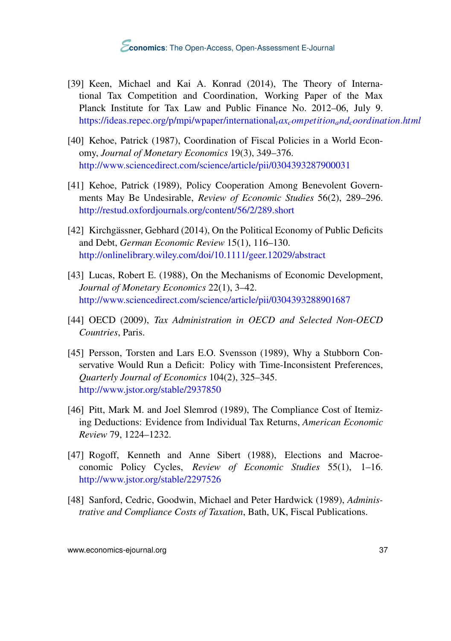- [39] Keen, Michael and Kai A. Konrad (2014), The Theory of International Tax Competition and Coordination, Working Paper of the Max Planck Institute for Tax Law and Public Finance No. 2012–06, July 9. https://ideas.repec.org/p/mpi/wpaper/international*taxcompetitionandcoordination*.*html*
- [40] Kehoe, Patrick (1987), Coordination of Fiscal Policies in a World Economy, *Journal of Monetary Economics* 19(3), 349–376. http://www.sciencedirect.com/science/article/pii/0304393287900031
- [41] Kehoe, Patrick (1989), Policy Cooperation Among Benevolent Governments May Be Undesirable, *Review of Economic Studies* 56(2), 289–296. http://restud.oxfordjournals.org/content/56/2/289.short
- [42] Kirchgässner, Gebhard (2014), On the Political Economy of Public Deficits and Debt, *German Economic Review* 15(1), 116–130. http://onlinelibrary.wiley.com/doi/10.1111/geer.12029/abstract
- [43] Lucas, Robert E. (1988), On the Mechanisms of Economic Development, *Journal of Monetary Economics* 22(1), 3–42. http://www.sciencedirect.com/science/article/pii/0304393288901687
- [44] OECD (2009), *Tax Administration in OECD and Selected Non-OECD Countries*, Paris.
- [45] Persson, Torsten and Lars E.O. Svensson (1989), Why a Stubborn Conservative Would Run a Deficit: Policy with Time-Inconsistent Preferences, *Quarterly Journal of Economics* 104(2), 325–345. http://www.jstor.org/stable/2937850
- [46] Pitt, Mark M. and Joel Slemrod (1989), The Compliance Cost of Itemizing Deductions: Evidence from Individual Tax Returns, *American Economic Review* 79, 1224–1232.
- [47] Rogoff, Kenneth and Anne Sibert (1988), Elections and Macroeconomic Policy Cycles, *Review of Economic Studies* 55(1), 1–16. http://www.jstor.org/stable/2297526
- [48] Sanford, Cedric, Goodwin, Michael and Peter Hardwick (1989), *Administrative and Compliance Costs of Taxation*, Bath, UK, Fiscal Publications.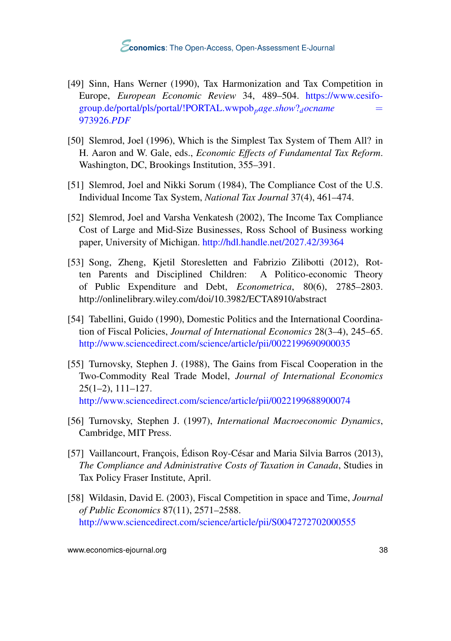- [49] Sinn, Hans Werner (1990), Tax Harmonization and Tax Competition in Europe, *European Economic Review* 34, 489–504. https://www.cesifo $group.de/portal/pls/portal/!PORTAL.wwpob<sub>p</sub>age.show?<sub>d</sub>ocname =$ 973926.*PDF*
- [50] Slemrod, Joel (1996), Which is the Simplest Tax System of Them All? in H. Aaron and W. Gale, eds., *Economic Effects of Fundamental Tax Reform*. Washington, DC, Brookings Institution, 355–391.
- [51] Slemrod, Joel and Nikki Sorum (1984), The Compliance Cost of the U.S. Individual Income Tax System, *National Tax Journal* 37(4), 461–474.
- [52] Slemrod, Joel and Varsha Venkatesh (2002), The Income Tax Compliance Cost of Large and Mid-Size Businesses, Ross School of Business working paper, University of Michigan. http://hdl.handle.net/2027.42/39364
- [53] Song, Zheng, Kjetil Storesletten and Fabrizio Zilibotti (2012), Rotten Parents and Disciplined Children: A Politico-economic Theory of Public Expenditure and Debt, *Econometrica*, 80(6), 2785–2803. http://onlinelibrary.wiley.com/doi/10.3982/ECTA8910/abstract
- [54] Tabellini, Guido (1990), Domestic Politics and the International Coordination of Fiscal Policies, *Journal of International Economics* 28(3–4), 245–65. http://www.sciencedirect.com/science/article/pii/0022199690900035
- [55] Turnovsky, Stephen J. (1988), The Gains from Fiscal Cooperation in the Two-Commodity Real Trade Model, *Journal of International Economics* 25(1–2), 111–127. http://www.sciencedirect.com/science/article/pii/0022199688900074
- [56] Turnovsky, Stephen J. (1997), *International Macroeconomic Dynamics*, Cambridge, MIT Press.
- [57] Vaillancourt, François, Édison Roy-César and Maria Silvia Barros (2013), *The Compliance and Administrative Costs of Taxation in Canada*, Studies in Tax Policy Fraser Institute, April.
- [58] Wildasin, David E. (2003), Fiscal Competition in space and Time, *Journal of Public Economics* 87(11), 2571–2588. http://www.sciencedirect.com/science/article/pii/S0047272702000555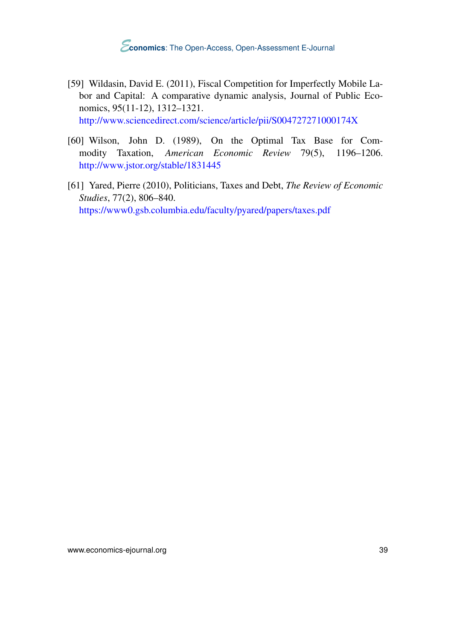- [59] Wildasin, David E. (2011), Fiscal Competition for Imperfectly Mobile Labor and Capital: A comparative dynamic analysis, Journal of Public Economics, 95(11-12), 1312–1321. http://www.sciencedirect.com/science/article/pii/S004727271000174X
- [60] Wilson, John D. (1989), On the Optimal Tax Base for Commodity Taxation, *American Economic Review* 79(5), 1196–1206. http://www.jstor.org/stable/1831445
- [61] Yared, Pierre (2010), Politicians, Taxes and Debt, *The Review of Economic Studies*, 77(2), 806–840. https://www0.gsb.columbia.edu/faculty/pyared/papers/taxes.pdf